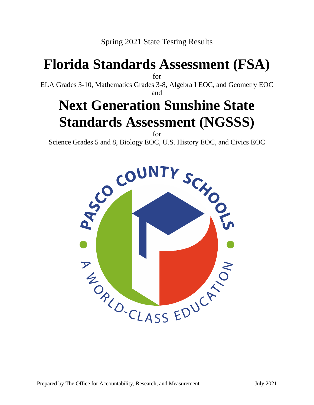Spring 2021 State Testing Results

# **Florida Standards Assessment (FSA)**

for

ELA Grades 3-10, Mathematics Grades 3-8, Algebra I EOC, and Geometry EOC

#### and

# **Next Generation Sunshine State Standards Assessment (NGSSS)**

for Science Grades 5 and 8, Biology EOC, U.S. History EOC, and Civics EOC

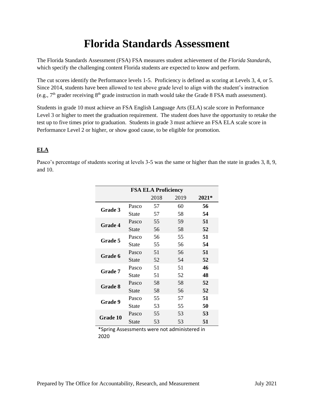# **Florida Standards Assessment**

The Florida Standards Assessment (FSA) FSA measures student achievement of the *Florida Standards*, which specify the challenging content Florida students are expected to know and perform.

The cut scores identify the Performance levels 1-5. Proficiency is defined as scoring at Levels 3, 4, or 5. Since 2014, students have been allowed to test above grade level to align with the student's instruction (e.g.,  $7<sup>th</sup>$  grader receiving  $8<sup>th</sup>$  grade instruction in math would take the Grade 8 FSA math assessment).

Students in grade 10 must achieve an FSA English Language Arts (ELA) scale score in Performance Level 3 or higher to meet the graduation requirement. The student does have the opportunity to retake the test up to five times prior to graduation. Students in grade 3 must achieve an FSA ELA scale score in Performance Level 2 or higher, or show good cause, to be eligible for promotion.

#### **ELA**

Pasco's percentage of students scoring at levels 3-5 was the same or higher than the state in grades 3, 8, 9, and 10.

| <b>FSA ELA Proficiency</b> |              |      |      |       |  |
|----------------------------|--------------|------|------|-------|--|
|                            |              | 2018 | 2019 | 2021* |  |
| Grade 3                    | Pasco        | 57   | 60   | 56    |  |
|                            | State        | 57   | 58   | 54    |  |
| <b>Grade 4</b>             | Pasco        | 55   | 59   | 51    |  |
|                            | State        | 56   | 58   | 52    |  |
| <b>Grade 5</b>             | Pasco        | 56   | 55   | 51    |  |
|                            | State        | 55   | 56   | 54    |  |
| Grade 6                    | Pasco        | 51   | 56   | 51    |  |
|                            | State        | 52   | 54   | 52    |  |
| <b>Grade</b> 7             | Pasco        | 51   | 51   | 46    |  |
|                            | State        | 51   | 52   | 48    |  |
| <b>Grade 8</b>             | Pasco        | 58   | 58   | 52    |  |
|                            | <b>State</b> | 58   | 56   | 52    |  |
| <b>Grade 9</b>             | Pasco        | 55   | 57   | 51    |  |
|                            | State        | 53   | 55   | 50    |  |
| Grade 10                   | Pasco        | 55   | 53   | 53    |  |
|                            | State        | 53   | 53   | 51    |  |

\*Spring Assessments were not administered in 2020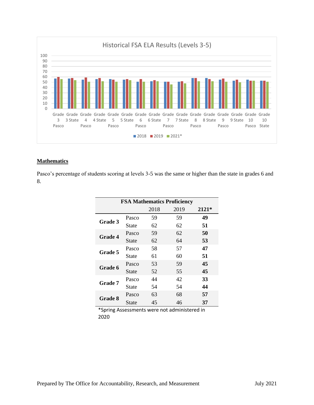

#### **Mathematics**

Pasco's percentage of students scoring at levels 3-5 was the same or higher than the state in grades 6 and 8.

| <b>FSA Mathematics Proficiency</b> |       |      |      |       |
|------------------------------------|-------|------|------|-------|
|                                    |       | 2018 | 2019 | 2121* |
| <b>Grade 3</b>                     | Pasco | 59   | 59   | 49    |
|                                    | State | 62   | 62   | 51    |
| <b>Grade 4</b>                     | Pasco | 59   | 62   | 50    |
|                                    | State | 62   | 64   | 53    |
|                                    | Pasco | 58   | 57   | 47    |
| <b>Grade 5</b>                     | State | 61   | 60   | 51    |
| <b>Grade 6</b>                     | Pasco | 53   | 59   | 45    |
|                                    | State | 52   | 55   | 45    |
| <b>Grade</b> 7                     | Pasco | 44   | 42   | 33    |
|                                    | State | 54   | 54   | 44    |
|                                    | Pasco | 63   | 68   | 57    |
| <b>Grade 8</b>                     | State | 45   | 46   | 37    |

\*Spring Assessments were not administered in 2020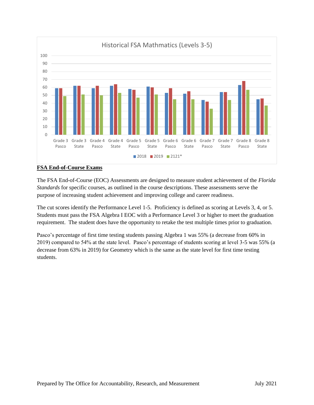

#### **FSA End-of-Course Exams**

The FSA End-of-Course (EOC) Assessments are designed to measure student achievement of the *Florida Standards* for specific courses, as outlined in the course descriptions. These assessments serve the purpose of increasing student achievement and improving college and career readiness.

The cut scores identify the Performance Level 1-5. Proficiency is defined as scoring at Levels 3, 4, or 5. Students must pass the FSA Algebra I EOC with a Performance Level 3 or higher to meet the graduation requirement. The student does have the opportunity to retake the test multiple times prior to graduation.

Pasco's percentage of first time testing students passing Algebra 1 was 55% (a decrease from 60% in 2019) compared to 54% at the state level. Pasco's percentage of students scoring at level 3-5 was 55% (a decrease from 63% in 2019) for Geometry which is the same as the state level for first time testing students.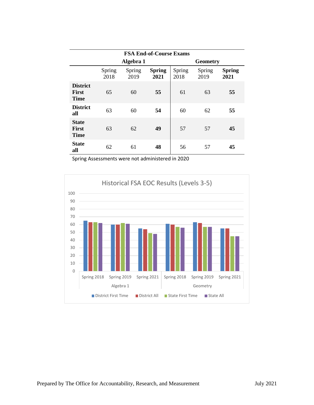|                                                | <b>FSA End-of-Course Exams</b> |                |                       |                |                 |                       |
|------------------------------------------------|--------------------------------|----------------|-----------------------|----------------|-----------------|-----------------------|
|                                                |                                | Algebra 1      |                       |                | <b>Geometry</b> |                       |
|                                                | Spring<br>2018                 | Spring<br>2019 | <b>Spring</b><br>2021 | Spring<br>2018 | Spring<br>2019  | <b>Spring</b><br>2021 |
| <b>District</b><br><b>First</b><br><b>Time</b> | 65                             | 60             | 55                    | 61             | 63              | 55                    |
| <b>District</b><br>all                         | 63                             | 60             | 54                    | 60             | 62              | 55                    |
| <b>State</b><br><b>First</b><br><b>Time</b>    | 63                             | 62             | 49                    | 57             | 57              | 45                    |
| <b>State</b><br>all                            | 62                             | 61             | 48                    | 56             | 57              | 45                    |

Spring Assessments were not administered in 2020

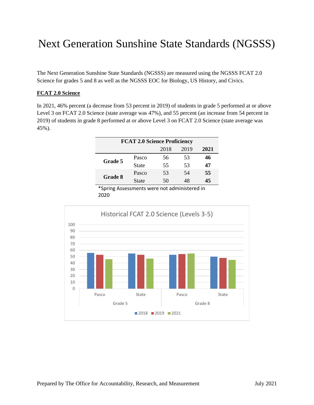# Next Generation Sunshine State Standards (NGSSS)

The Next Generation Sunshine State Standards (NGSSS) are measured using the NGSSS FCAT 2.0 Science for grades 5 and 8 as well as the NGSSS EOC for Biology, US History, and Civics.

#### **FCAT 2.0 Science**

In 2021, 46% percent (a decrease from 53 percent in 2019) of students in grade 5 performed at or above Level 3 on FCAT 2.0 Science (state average was 47%), and 55 percent (an increase from 54 percent in 2019) of students in grade 8 performed at or above Level 3 on FCAT 2.0 Science (state average was 45%).

| <b>FCAT 2.0 Science Proficiency</b> |       |      |      |      |  |
|-------------------------------------|-------|------|------|------|--|
|                                     |       | 2018 | 2019 | 2021 |  |
| Grade 5                             | Pasco | 56   | 53   | 46   |  |
|                                     | State | 55   | 53   | 47   |  |
| Grade 8                             | Pasco | 53   | 54   | 55   |  |
|                                     | State | 50   | 48   | 45   |  |

\*Spring Assessments were not administered in 2020

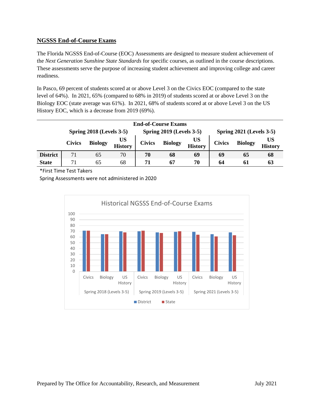#### **NGSSS End-of-Course Exams**

The Florida NGSSS End-of-Course (EOC) Assessments are designed to measure student achievement of the *Next Generation Sunshine State Standards* for specific courses, as outlined in the course descriptions. These assessments serve the purpose of increasing student achievement and improving college and career readiness.

In Pasco, 69 percent of students scored at or above Level 3 on the Civics EOC (compared to the state level of 64%). In 2021, 65% (compared to 68% in 2019) of students scored at or above Level 3 on the Biology EOC (state average was 61%). In 2021, 68% of students scored at or above Level 3 on the US History EOC, which is a decrease from 2019 (69%).

| <b>End-of-Course Exams</b>                                                                          |               |                |                      |               |                |                      |               |                |                      |
|-----------------------------------------------------------------------------------------------------|---------------|----------------|----------------------|---------------|----------------|----------------------|---------------|----------------|----------------------|
| <b>Spring 2019 (Levels 3-5)</b><br>Spring $2018$ (Levels $3-5$ )<br><b>Spring 2021 (Levels 3-5)</b> |               |                |                      |               |                |                      |               |                |                      |
|                                                                                                     | <b>Civics</b> | <b>Biology</b> | US<br><b>History</b> | <b>Civics</b> | <b>Biology</b> | US<br><b>History</b> | <b>Civics</b> | <b>Biology</b> | US<br><b>History</b> |
| <b>District</b>                                                                                     | 71            | 65             | 70                   | 70            | 68             | 69                   | 69            | 65             | 68                   |
| <b>State</b>                                                                                        | 71            | 65             | 68                   | 71            | 67             | 70                   | 64            | 61             | 63                   |

\*First Time Test Takers

Spring Assessments were not administered in 2020

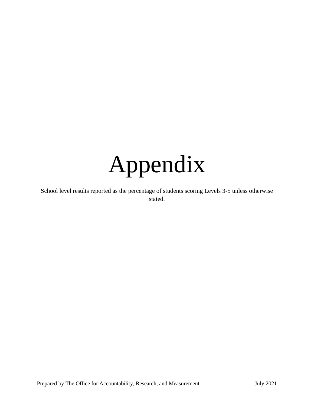

School level results reported as the percentage of students scoring Levels 3-5 unless otherwise stated.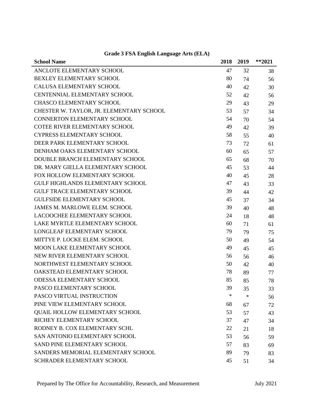| <b>School Name</b>                       | 2018   | 2019 | $*$ *2021 |
|------------------------------------------|--------|------|-----------|
| ANCLOTE ELEMENTARY SCHOOL                | 47     | 32   | 38        |
| BEXLEY ELEMENTARY SCHOOL                 | 80     | 74   | 56        |
| <b>CALUSA ELEMENTARY SCHOOL</b>          | 40     | 42   | 30        |
| <b>CENTENNIAL ELEMENTARY SCHOOL</b>      | 52     | 42   | 56        |
| <b>CHASCO ELEMENTARY SCHOOL</b>          | 29     | 43   | 29        |
| CHESTER W. TAYLOR, JR. ELEMENTARY SCHOOL | 53     | 57   | 34        |
| CONNERTON ELEMENTARY SCHOOL              | 54     | 70   | 54        |
| <b>COTEE RIVER ELEMENTARY SCHOOL</b>     | 49     | 42   | 39        |
| <b>CYPRESS ELEMENTARY SCHOOL</b>         | 58     | 55   | 40        |
| DEER PARK ELEMENTARY SCHOOL              | 73     | 72   | 61        |
| DENHAM OAKS ELEMENTARY SCHOOL            | 60     | 65   | 57        |
| DOUBLE BRANCH ELEMENTARY SCHOOL          | 65     | 68   | 70        |
| DR. MARY GIELLA ELEMENTARY SCHOOL        | 45     | 53   | 44        |
| FOX HOLLOW ELEMENTARY SCHOOL             | 40     | 45   | 28        |
| <b>GULF HIGHLANDS ELEMENTARY SCHOOL</b>  | 47     | 43   | 33        |
| <b>GULF TRACE ELEMENTARY SCHOOL</b>      | 39     | 44   | 42        |
| <b>GULFSIDE ELEMENTARY SCHOOL</b>        | 45     | 37   | 34        |
| <b>JAMES M. MARLOWE ELEM. SCHOOL</b>     | 39     | 40   | 48        |
| <b>LACOOCHEE ELEMENTARY SCHOOL</b>       | 24     | 18   | 48        |
| LAKE MYRTLE ELEMENTARY SCHOOL            | 60     | 71   | 61        |
| <b>LONGLEAF ELEMENTARY SCHOOL</b>        | 79     | 79   | 75        |
| MITTYE P. LOCKE ELEM. SCHOOL             | 50     | 49   | 54        |
| MOON LAKE ELEMENTARY SCHOOL              | 49     | 45   | 45        |
| NEW RIVER ELEMENTARY SCHOOL              | 56     | 56   | 46        |
| NORTHWEST ELEMENTARY SCHOOL              | 50     | 42   | 40        |
| OAKSTEAD ELEMENTARY SCHOOL               | 78     | 89   | 77        |
| <b>ODESSA ELEMENTARY SCHOOL</b>          | 85     | 85   | 78        |
| PASCO ELEMENTARY SCHOOL                  | 39     | 35   | 33        |
| PASCO VIRTUAL INSTRUCTION                | $\ast$ | ∗    | 56        |
| PINE VIEW ELEMENTARY SCHOOL              | 68     | 67   | 72        |
| <b>QUAIL HOLLOW ELEMENTARY SCHOOL</b>    | 53     | 57   | 43        |
| RICHEY ELEMENTARY SCHOOL                 | 37     | 47   | 34        |
| RODNEY B. COX ELEMENTARY SCHL            | 22     | 21   | 18        |
| SAN ANTONIO ELEMENTARY SCHOOL            | 53     | 56   | 59        |
| SAND PINE ELEMENTARY SCHOOL              | 57     | 83   | 69        |
| SANDERS MEMORIAL ELEMENTARY SCHOOL       | 89     | 79   | 83        |
| SCHRADER ELEMENTARY SCHOOL               | 45     | 51   | 34        |

# **Grade 3 FSA English Language Arts (ELA)**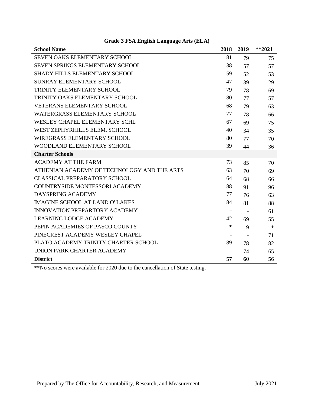| <b>School Name</b>                          | 2018                     | 2019 | $**2021$ |
|---------------------------------------------|--------------------------|------|----------|
| <b>SEVEN OAKS ELEMENTARY SCHOOL</b>         | 81                       | 79   | 75       |
| SEVEN SPRINGS ELEMENTARY SCHOOL             | 38                       | 57   | 57       |
| SHADY HILLS ELEMENTARY SCHOOL               | 59                       | 52   | 53       |
| SUNRAY ELEMENTARY SCHOOL                    | 47                       | 39   | 29       |
| TRINITY ELEMENTARY SCHOOL                   | 79                       | 78   | 69       |
| TRINITY OAKS ELEMENTARY SCHOOL              | 80                       | 77   | 57       |
| <b>VETERANS ELEMENTARY SCHOOL</b>           | 68                       | 79   | 63       |
| <b>WATERGRASS ELEMENTARY SCHOOL</b>         | 77                       | 78   | 66       |
| WESLEY CHAPEL ELEMENTARY SCHL               | 67                       | 69   | 75       |
| WEST ZEPHYRHILLS ELEM. SCHOOL               | 40                       | 34   | 35       |
| <b>WIREGRASS ELEMENTARY SCHOOL</b>          | 80                       | 77   | 70       |
| WOODLAND ELEMENTARY SCHOOL                  | 39                       | 44   | 36       |
| <b>Charter Schools</b>                      |                          |      |          |
| <b>ACADEMY AT THE FARM</b>                  | 73                       | 85   | 70       |
| ATHENIAN ACADEMY OF TECHNOLOGY AND THE ARTS | 63                       | 70   | 69       |
| <b>CLASSICAL PREPARATORY SCHOOL</b>         | 64                       | 68   | 66       |
| <b>COUNTRYSIDE MONTESSORI ACADEMY</b>       | 88                       | 91   | 96       |
| DAYSPRING ACADEMY                           | 77                       | 76   | 63       |
| <b>IMAGINE SCHOOL AT LAND O' LAKES</b>      | 84                       | 81   | 88       |
| <b>INNOVATION PREPARTORY ACADEMY</b>        |                          |      | 61       |
| <b>LEARNING LODGE ACADEMY</b>               | 42                       | 69   | 55       |
| PEPIN ACADEMIES OF PASCO COUNTY             | $\ast$                   | 9    | $\ast$   |
| PINECREST ACADEMY WESLEY CHAPEL             |                          |      | 71       |
| PLATO ACADEMY TRINITY CHARTER SCHOOL        | 89                       | 78   | 82       |
| UNION PARK CHARTER ACADEMY                  | $\overline{\phantom{a}}$ | 74   | 65       |
| <b>District</b>                             | 57                       | 60   | 56       |

# **Grade 3 FSA English Language Arts (ELA)**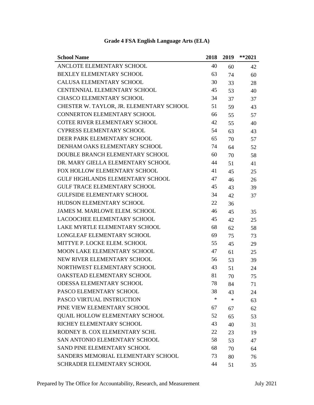| <b>School Name</b>                       | 2018   | 2019 | $*$ *2021 |
|------------------------------------------|--------|------|-----------|
| ANCLOTE ELEMENTARY SCHOOL                | 40     | 60   | 42        |
| BEXLEY ELEMENTARY SCHOOL                 | 63     | 74   | 60        |
| <b>CALUSA ELEMENTARY SCHOOL</b>          | 30     | 33   | 28        |
| <b>CENTENNIAL ELEMENTARY SCHOOL</b>      | 45     | 53   | 40        |
| <b>CHASCO ELEMENTARY SCHOOL</b>          | 34     | 37   | 37        |
| CHESTER W. TAYLOR, JR. ELEMENTARY SCHOOL | 51     | 59   | 43        |
| <b>CONNERTON ELEMENTARY SCHOOL</b>       | 66     | 55   | 57        |
| COTEE RIVER ELEMENTARY SCHOOL            | 42     | 55   | 40        |
| <b>CYPRESS ELEMENTARY SCHOOL</b>         | 54     | 63   | 43        |
| DEER PARK ELEMENTARY SCHOOL              | 65     | 70   | 57        |
| DENHAM OAKS ELEMENTARY SCHOOL            | 74     | 64   | 52        |
| DOUBLE BRANCH ELEMENTARY SCHOOL          | 60     | 70   | 58        |
| DR. MARY GIELLA ELEMENTARY SCHOOL        | 44     | 51   | 41        |
| FOX HOLLOW ELEMENTARY SCHOOL             | 41     | 45   | 25        |
| <b>GULF HIGHLANDS ELEMENTARY SCHOOL</b>  | 47     | 46   | 26        |
| <b>GULF TRACE ELEMENTARY SCHOOL</b>      | 45     | 43   | 39        |
| <b>GULFSIDE ELEMENTARY SCHOOL</b>        | 34     | 42   | 37        |
| HUDSON ELEMENTARY SCHOOL                 | 22     | 36   |           |
| <b>JAMES M. MARLOWE ELEM. SCHOOL</b>     | 46     | 45   | 35        |
| LACOOCHEE ELEMENTARY SCHOOL              | 45     | 42   | 25        |
| LAKE MYRTLE ELEMENTARY SCHOOL            | 68     | 62   | 58        |
| LONGLEAF ELEMENTARY SCHOOL               | 69     | 75   | 73        |
| MITTYE P. LOCKE ELEM. SCHOOL             | 55     | 45   | 29        |
| MOON LAKE ELEMENTARY SCHOOL              | 47     | 61   | 25        |
| NEW RIVER ELEMENTARY SCHOOL              | 56     | 53   | 39        |
| NORTHWEST ELEMENTARY SCHOOL              | 43     | 51   | 24        |
| OAKSTEAD ELEMENTARY SCHOOL               | 81     | 70   | 75        |
| <b>ODESSA ELEMENTARY SCHOOL</b>          | 78     | 84   | 71        |
| PASCO ELEMENTARY SCHOOL                  | 38     | 43   | 24        |
| PASCO VIRTUAL INSTRUCTION                | $\ast$ | ∗    | 63        |
| PINE VIEW ELEMENTARY SCHOOL              | 67     | 67   | 62        |
| <b>QUAIL HOLLOW ELEMENTARY SCHOOL</b>    | 52     | 65   | 53        |
| RICHEY ELEMENTARY SCHOOL                 | 43     | 40   | 31        |
| RODNEY B. COX ELEMENTARY SCHL            | 22     | 23   | 19        |
| SAN ANTONIO ELEMENTARY SCHOOL            | 58     | 53   | 47        |
| <b>SAND PINE ELEMENTARY SCHOOL</b>       | 68     | 70   | 64        |
| SANDERS MEMORIAL ELEMENTARY SCHOOL       | 73     | 80   | 76        |
| SCHRADER ELEMENTARY SCHOOL               | 44     | 51   | 35        |

# **Grade 4 FSA English Language Arts (ELA)**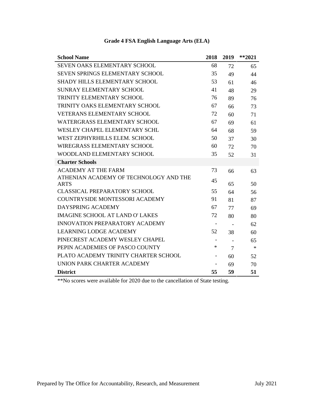| <b>School Name</b>                     | 2018                     | 2019                     | $*$ *2021 |
|----------------------------------------|--------------------------|--------------------------|-----------|
| SEVEN OAKS ELEMENTARY SCHOOL           | 68                       | 72                       | 65        |
| <b>SEVEN SPRINGS ELEMENTARY SCHOOL</b> | 35                       | 49                       | 44        |
| <b>SHADY HILLS ELEMENTARY SCHOOL</b>   | 53                       | 61                       | 46        |
| SUNRAY ELEMENTARY SCHOOL               | 41                       | 48                       | 29        |
| TRINITY ELEMENTARY SCHOOL              | 76                       | 89                       | 76        |
| TRINITY OAKS ELEMENTARY SCHOOL         | 67                       | 66                       | 73        |
| <b>VETERANS ELEMENTARY SCHOOL</b>      | 72                       | 60                       | 71        |
| <b>WATERGRASS ELEMENTARY SCHOOL</b>    | 67                       | 69                       | 61        |
| WESLEY CHAPEL ELEMENTARY SCHL          | 64                       | 68                       | 59        |
| WEST ZEPHYRHILLS ELEM. SCHOOL          | 50                       | 37                       | 30        |
| <b>WIREGRASS ELEMENTARY SCHOOL</b>     | 60                       | 72                       | 70        |
| WOODLAND ELEMENTARY SCHOOL             | 35                       | 52                       | 31        |
| <b>Charter Schools</b>                 |                          |                          |           |
| <b>ACADEMY AT THE FARM</b>             | 73                       | 66                       | 63        |
| ATHENIAN ACADEMY OF TECHNOLOGY AND THE | 45                       |                          |           |
| <b>ARTS</b>                            |                          | 65                       | 50        |
| <b>CLASSICAL PREPARATORY SCHOOL</b>    | 55                       | 64                       | 56        |
| <b>COUNTRYSIDE MONTESSORI ACADEMY</b>  | 91                       | 81                       | 87        |
| DAYSPRING ACADEMY                      | 67                       | 77                       | 69        |
| <b>IMAGINE SCHOOL AT LAND O' LAKES</b> | 72                       | 80                       | 80        |
| INNOVATION PREPARATORY ACADEMY         | $\overline{\phantom{a}}$ | $\overline{\phantom{a}}$ | 62        |
| <b>LEARNING LODGE ACADEMY</b>          | 52                       | 38                       | 60        |
| PINECREST ACADEMY WESLEY CHAPEL        |                          | $\overline{\phantom{a}}$ | 65        |
| PEPIN ACADEMIES OF PASCO COUNTY        | $\ast$                   | $\overline{7}$           | $\ast$    |
| PLATO ACADEMY TRINITY CHARTER SCHOOL   | $\qquad \qquad -$        | 60                       | 52        |
| UNION PARK CHARTER ACADEMY             |                          | 69                       | 70        |
| <b>District</b>                        | 55                       | 59                       | 51        |

# **Grade 4 FSA English Language Arts (ELA)**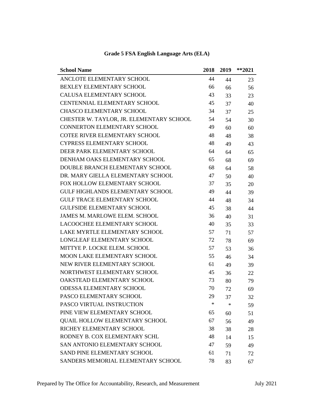| <b>School Name</b>                       | 2018 | 2019   | $**2021$ |
|------------------------------------------|------|--------|----------|
| ANCLOTE ELEMENTARY SCHOOL                | 44   | 44     | 23       |
| <b>BEXLEY ELEMENTARY SCHOOL</b>          | 66   | 66     | 56       |
| <b>CALUSA ELEMENTARY SCHOOL</b>          | 43   | 33     | 23       |
| CENTENNIAL ELEMENTARY SCHOOL             | 45   | 37     | 40       |
| <b>CHASCO ELEMENTARY SCHOOL</b>          | 34   | 37     | 25       |
| CHESTER W. TAYLOR, JR. ELEMENTARY SCHOOL | 54   | 54     | 30       |
| CONNERTON ELEMENTARY SCHOOL              | 49   | 60     | 60       |
| COTEE RIVER ELEMENTARY SCHOOL            | 48   | 48     | 38       |
| <b>CYPRESS ELEMENTARY SCHOOL</b>         | 48   | 49     | 43       |
| DEER PARK ELEMENTARY SCHOOL              | 64   | 64     | 65       |
| DENHAM OAKS ELEMENTARY SCHOOL            | 65   | 68     | 69       |
| DOUBLE BRANCH ELEMENTARY SCHOOL          | 68   | 64     | 58       |
| DR. MARY GIELLA ELEMENTARY SCHOOL        | 47   | 50     | 40       |
| FOX HOLLOW ELEMENTARY SCHOOL             | 37   | 35     | 20       |
| <b>GULF HIGHLANDS ELEMENTARY SCHOOL</b>  | 49   | 44     | 39       |
| <b>GULF TRACE ELEMENTARY SCHOOL</b>      | 44   | 48     | 34       |
| <b>GULFSIDE ELEMENTARY SCHOOL</b>        | 45   | 38     | 44       |
| JAMES M. MARLOWE ELEM. SCHOOL            | 36   | 40     | 31       |
| <b>LACOOCHEE ELEMENTARY SCHOOL</b>       | 40   | 35     | 33       |
| LAKE MYRTLE ELEMENTARY SCHOOL            | 57   | 71     | 57       |
| LONGLEAF ELEMENTARY SCHOOL               | 72   | 78     | 69       |
| MITTYE P. LOCKE ELEM. SCHOOL             | 57   | 53     | 36       |
| MOON LAKE ELEMENTARY SCHOOL              | 55   | 46     | 34       |
| NEW RIVER ELEMENTARY SCHOOL              | 61   | 49     | 39       |
| NORTHWEST ELEMENTARY SCHOOL              | 45   | 36     | 22       |
| OAKSTEAD ELEMENTARY SCHOOL               | 73   | 80     | 79       |
| <b>ODESSA ELEMENTARY SCHOOL</b>          | 70   | 72     | 69       |
| PASCO ELEMENTARY SCHOOL                  | 29   | 37     | 32       |
| PASCO VIRTUAL INSTRUCTION                | ∗    | $\ast$ | 59       |
| PINE VIEW ELEMENTARY SCHOOL              | 65   | 60     | 51       |
| <b>QUAIL HOLLOW ELEMENTARY SCHOOL</b>    | 67   | 56     | 49       |
| RICHEY ELEMENTARY SCHOOL                 | 38   | 38     | 28       |
| RODNEY B. COX ELEMENTARY SCHL            | 48   | 14     | 15       |
| SAN ANTONIO ELEMENTARY SCHOOL            | 47   | 59     | 49       |
| <b>SAND PINE ELEMENTARY SCHOOL</b>       | 61   | 71     | 72       |
| SANDERS MEMORIAL ELEMENTARY SCHOOL       | 78   | 83     | 67       |

# **Grade 5 FSA English Language Arts (ELA)**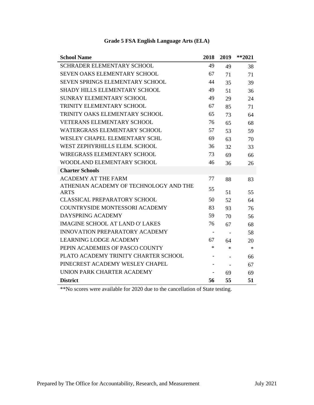| <b>School Name</b>                     | 2018   | 2019                     | $**2021$ |
|----------------------------------------|--------|--------------------------|----------|
| <b>SCHRADER ELEMENTARY SCHOOL</b>      | 49     | 49                       | 38       |
| <b>SEVEN OAKS ELEMENTARY SCHOOL</b>    | 67     | 71                       | 71       |
| <b>SEVEN SPRINGS ELEMENTARY SCHOOL</b> | 44     | 35                       | 39       |
| <b>SHADY HILLS ELEMENTARY SCHOOL</b>   | 49     | 51                       | 36       |
| <b>SUNRAY ELEMENTARY SCHOOL</b>        | 49     | 29                       | 24       |
| TRINITY ELEMENTARY SCHOOL              | 67     | 85                       | 71       |
| TRINITY OAKS ELEMENTARY SCHOOL         | 65     | 73                       | 64       |
| <b>VETERANS ELEMENTARY SCHOOL</b>      | 76     | 65                       | 68       |
| WATERGRASS ELEMENTARY SCHOOL           | 57     | 53                       | 59       |
| WESLEY CHAPEL ELEMENTARY SCHL          | 69     | 63                       | 70       |
| WEST ZEPHYRHILLS ELEM. SCHOOL          | 36     | 32                       | 33       |
| WIREGRASS ELEMENTARY SCHOOL            | 73     | 69                       | 66       |
| WOODLAND ELEMENTARY SCHOOL             | 46     | 36                       | 26       |
| <b>Charter Schools</b>                 |        |                          |          |
| <b>ACADEMY AT THE FARM</b>             | 77     | 88                       | 83       |
| ATHENIAN ACADEMY OF TECHNOLOGY AND THE | 55     |                          |          |
| <b>ARTS</b>                            |        | 51                       | 55       |
| <b>CLASSICAL PREPARATORY SCHOOL</b>    | 50     | 52                       | 64       |
| <b>COUNTRYSIDE MONTESSORI ACADEMY</b>  | 83     | 93                       | 76       |
| DAYSPRING ACADEMY                      | 59     | 70                       | 56       |
| <b>IMAGINE SCHOOL AT LAND O' LAKES</b> | 76     | 67                       | 68       |
| <b>INNOVATION PREPARATORY ACADEMY</b>  | -      | $\overline{\phantom{a}}$ | 58       |
| <b>LEARNING LODGE ACADEMY</b>          | 67     | 64                       | 20       |
| PEPIN ACADEMIES OF PASCO COUNTY        | $\ast$ | $\ast$                   | $\ast$   |
| PLATO ACADEMY TRINITY CHARTER SCHOOL   |        |                          | 66       |
| PINECREST ACADEMY WESLEY CHAPEL        |        | $\overline{\phantom{a}}$ | 67       |
| UNION PARK CHARTER ACADEMY             |        | 69                       | 69       |
| <b>District</b>                        | 56     | 55                       | 51       |

# **Grade 5 FSA English Language Arts (ELA)**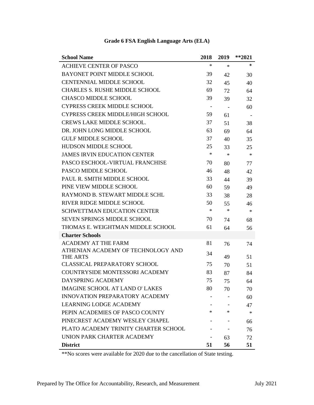| <b>School Name</b>                      | 2018   | 2019   | $*$ *2021 |
|-----------------------------------------|--------|--------|-----------|
| <b>ACHIEVE CENTER OF PASCO</b>          | $\ast$ | $\ast$ | $\ast$    |
| BAYONET POINT MIDDLE SCHOOL             | 39     | 42     | 30        |
| <b>CENTENNIAL MIDDLE SCHOOL</b>         | 32     | 45     | 40        |
| <b>CHARLES S. RUSHE MIDDLE SCHOOL</b>   | 69     | 72     | 64        |
| <b>CHASCO MIDDLE SCHOOL</b>             | 39     | 39     | 32        |
| <b>CYPRESS CREEK MIDDLE SCHOOL</b>      |        | $\sim$ | 60        |
| <b>CYPRESS CREEK MIDDLE/HIGH SCHOOL</b> | 59     | 61     |           |
| <b>CREWS LAKE MIDDLE SCHOOL.</b>        | 37     | 51     | 38        |
| DR. JOHN LONG MIDDLE SCHOOL             | 63     | 69     | 64        |
| <b>GULF MIDDLE SCHOOL</b>               | 37     | 40     | 35        |
| <b>HUDSON MIDDLE SCHOOL</b>             | 25     | 33     | 25        |
| <b>JAMES IRVIN EDUCATION CENTER</b>     | $\ast$ | $\ast$ | $\ast$    |
| PASCO ESCHOOL-VIRTUAL FRANCHISE         | 70     | 80     | 77        |
| PASCO MIDDLE SCHOOL                     | 46     | 48     | 42        |
| PAUL R. SMITH MIDDLE SCHOOL             | 33     | 44     | 39        |
| PINE VIEW MIDDLE SCHOOL                 | 60     | 59     | 49        |
| RAYMOND B. STEWART MIDDLE SCHL          | 33     | 38     | 28        |
| RIVER RIDGE MIDDLE SCHOOL               | 50     | 55     | 46        |
| <b>SCHWETTMAN EDUCATION CENTER</b>      | $\ast$ | $\ast$ | $\ast$    |
| <b>SEVEN SPRINGS MIDDLE SCHOOL</b>      | 70     | 74     | 68        |
| THOMAS E. WEIGHTMAN MIDDLE SCHOOL       | 61     | 64     | 56        |
| <b>Charter Schools</b>                  |        |        |           |
| <b>ACADEMY AT THE FARM</b>              | 81     | 76     | 74        |
| ATHENIAN ACADEMY OF TECHNOLOGY AND      | 34     |        |           |
| THE ARTS                                |        | 49     | 51        |
| <b>CLASSICAL PREPARATORY SCHOOL</b>     | 75     | 70     | 51        |
| <b>COUNTRYSIDE MONTESSORI ACADEMY</b>   | 83     | 87     | 84        |
| DAYSPRING ACADEMY                       | 75     | 75     | 64        |
| <b>IMAGINE SCHOOL AT LAND O' LAKES</b>  | 80     | 70     | 70        |
| <b>INNOVATION PREPARATORY ACADEMY</b>   |        |        | 60        |
| <b>LEARNING LODGE ACADEMY</b>           |        |        | 47        |
| PEPIN ACADEMIES OF PASCO COUNTY         | $\ast$ | ∗      | $\ast$    |
| PINECREST ACADEMY WESLEY CHAPEL         |        |        | 66        |
| PLATO ACADEMY TRINITY CHARTER SCHOOL    |        |        | 76        |
| UNION PARK CHARTER ACADEMY              |        | 63     | 72        |
| <b>District</b>                         | 51     | 56     | 51        |

# **Grade 6 FSA English Language Arts (ELA)**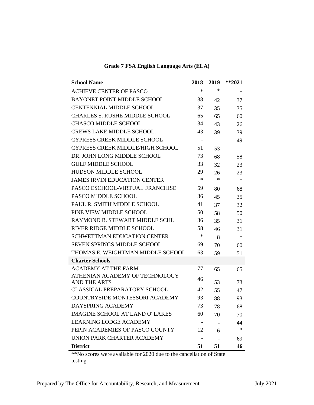| <b>School Name</b>                                          | 2018                     | 2019                     | $**2021$ |
|-------------------------------------------------------------|--------------------------|--------------------------|----------|
| <b>ACHIEVE CENTER OF PASCO</b>                              | $\ast$                   | $\ast$                   | $\ast$   |
| <b>BAYONET POINT MIDDLE SCHOOL</b>                          | 38                       | 42                       | 37       |
| <b>CENTENNIAL MIDDLE SCHOOL</b>                             | 37                       | 35                       | 35       |
| <b>CHARLES S. RUSHE MIDDLE SCHOOL</b>                       | 65                       | 65                       | 60       |
| <b>CHASCO MIDDLE SCHOOL</b>                                 | 34                       | 43                       | 26       |
| <b>CREWS LAKE MIDDLE SCHOOL.</b>                            | 43                       | 39                       | 39       |
| <b>CYPRESS CREEK MIDDLE SCHOOL</b>                          | $\overline{\phantom{a}}$ | $\overline{\phantom{a}}$ | 49       |
| <b>CYPRESS CREEK MIDDLE/HIGH SCHOOL</b>                     | 51                       | 53                       |          |
| DR. JOHN LONG MIDDLE SCHOOL                                 | 73                       | 68                       | 58       |
| <b>GULF MIDDLE SCHOOL</b>                                   | 33                       | 32                       | 23       |
| <b>HUDSON MIDDLE SCHOOL</b>                                 | 29                       | 26                       | 23       |
| <b>JAMES IRVIN EDUCATION CENTER</b>                         | $\ast$                   | $\ast$                   | $\ast$   |
| PASCO ESCHOOL-VIRTUAL FRANCHISE                             | 59                       | 80                       | 68       |
| PASCO MIDDLE SCHOOL                                         | 36                       | 45                       | 35       |
| PAUL R. SMITH MIDDLE SCHOOL                                 | 41                       | 37                       | 32       |
| PINE VIEW MIDDLE SCHOOL                                     | 50                       | 58                       | 50       |
| RAYMOND B. STEWART MIDDLE SCHL                              | 36                       | 35                       | 31       |
| RIVER RIDGE MIDDLE SCHOOL                                   | 58                       | 46                       | 31       |
| <b>SCHWETTMAN EDUCATION CENTER</b>                          | $\ast$                   | 8                        | $\ast$   |
| <b>SEVEN SPRINGS MIDDLE SCHOOL</b>                          | 69                       | 70                       | 60       |
| THOMAS E. WEIGHTMAN MIDDLE SCHOOL                           | 63                       | 59                       | 51       |
| <b>Charter Schools</b>                                      |                          |                          |          |
| <b>ACADEMY AT THE FARM</b>                                  | 77                       | 65                       | 65       |
| ATHENIAN ACADEMY OF TECHNOLOGY                              | 46                       |                          |          |
| <b>AND THE ARTS</b><br><b>CLASSICAL PREPARATORY SCHOOL</b>  | 42                       | 53                       | 73       |
| <b>COUNTRYSIDE MONTESSORI ACADEMY</b>                       | 93                       | 55                       | 47       |
|                                                             |                          | 88                       | 93       |
| DAYSPRING ACADEMY<br><b>IMAGINE SCHOOL AT LAND O' LAKES</b> | 73                       | 78                       | 68       |
| <b>LEARNING LODGE ACADEMY</b>                               | 60                       | 70                       | 70       |
|                                                             |                          |                          | 44<br>*  |
| PEPIN ACADEMIES OF PASCO COUNTY                             | 12                       | 6                        |          |
| UNION PARK CHARTER ACADEMY                                  |                          |                          | 69       |
| <b>District</b>                                             | 51                       | 51                       | 46       |

**Grade 7 FSA English Language Arts (ELA)**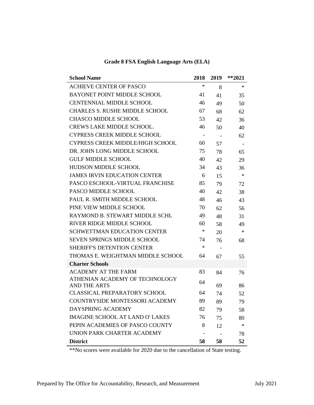| <b>School Name</b>                                    | 2018                     | 2019 | $**2021$ |
|-------------------------------------------------------|--------------------------|------|----------|
| <b>ACHIEVE CENTER OF PASCO</b>                        | *                        | 8    | $\ast$   |
| <b>BAYONET POINT MIDDLE SCHOOL</b>                    | 41                       | 41   | 35       |
| <b>CENTENNIAL MIDDLE SCHOOL</b>                       | 46                       | 49   | 50       |
| <b>CHARLES S. RUSHE MIDDLE SCHOOL</b>                 | 67                       | 68   | 62       |
| <b>CHASCO MIDDLE SCHOOL</b>                           | 53                       | 42   | 36       |
| <b>CREWS LAKE MIDDLE SCHOOL.</b>                      | 46                       | 50   | 40       |
| <b>CYPRESS CREEK MIDDLE SCHOOL</b>                    | $\overline{\phantom{a}}$ |      | 62       |
| <b>CYPRESS CREEK MIDDLE/HIGH SCHOOL</b>               | 60                       | 57   |          |
| DR. JOHN LONG MIDDLE SCHOOL                           | 75                       | 78   | 65       |
| <b>GULF MIDDLE SCHOOL</b>                             | 40                       | 42   | 29       |
| <b>HUDSON MIDDLE SCHOOL</b>                           | 34                       | 43   | 36       |
| <b>JAMES IRVIN EDUCATION CENTER</b>                   | 6                        | 15   | $\ast$   |
| PASCO ESCHOOL-VIRTUAL FRANCHISE                       | 85                       | 79   | 72       |
| <b>PASCO MIDDLE SCHOOL</b>                            | 40                       | 42   | 38       |
| PAUL R. SMITH MIDDLE SCHOOL                           | 48                       | 46   | 43       |
| PINE VIEW MIDDLE SCHOOL                               | 70                       | 62   | 56       |
| RAYMOND B. STEWART MIDDLE SCHL                        | 49                       | 48   | 31       |
| RIVER RIDGE MIDDLE SCHOOL                             | 60                       | 58   | 49       |
| <b>SCHWETTMAN EDUCATION CENTER</b>                    | ∗                        | 20   | ∗        |
| <b>SEVEN SPRINGS MIDDLE SCHOOL</b>                    | 74                       | 76   | 68       |
| <b>SHERIFF'S DETENTION CENTER</b>                     | ∗                        |      |          |
| THOMAS E. WEIGHTMAN MIDDLE SCHOOL                     | 64                       | 67   | 55       |
| <b>Charter Schools</b>                                |                          |      |          |
| <b>ACADEMY AT THE FARM</b>                            | 83                       | 84   | 76       |
| ATHENIAN ACADEMY OF TECHNOLOGY<br><b>AND THE ARTS</b> | 64                       | 69   | 86       |
| <b>CLASSICAL PREPARATORY SCHOOL</b>                   | 64                       | 74   | 52       |
| COUNTRYSIDE MONTESSORI ACADEMY                        | 89                       | 89   | 79       |
| DAYSPRING ACADEMY                                     | 82                       | 79   | 58       |
| <b>IMAGINE SCHOOL AT LAND O' LAKES</b>                | 76                       | 75   | 80       |
| PEPIN ACADEMIES OF PASCO COUNTY                       | 8                        | 12   | ∗        |
| UNION PARK CHARTER ACADEMY                            |                          |      | 78       |
| <b>District</b>                                       | 58                       | 58   | 52       |

#### **Grade 8 FSA English Language Arts (ELA)**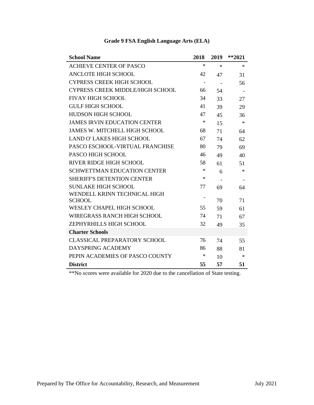| <b>School Name</b>                      | 2018                     | 2019   | $**2021$ |
|-----------------------------------------|--------------------------|--------|----------|
| <b>ACHIEVE CENTER OF PASCO</b>          | *                        | $\ast$ | $\ast$   |
| <b>ANCLOTE HIGH SCHOOL</b>              | 42                       | 47     | 31       |
| <b>CYPRESS CREEK HIGH SCHOOL</b>        | $\overline{\phantom{a}}$ |        | 56       |
| <b>CYPRESS CREEK MIDDLE/HIGH SCHOOL</b> | 66                       | 54     |          |
| <b>FIVAY HIGH SCHOOL</b>                | 34                       | 33     | 27       |
| <b>GULF HIGH SCHOOL</b>                 | 41                       | 39     | 29       |
| <b>HUDSON HIGH SCHOOL</b>               | 47                       | 45     | 36       |
| <b>JAMES IRVIN EDUCATION CENTER</b>     | *                        | 15     | $\ast$   |
| <b>JAMES W. MITCHELL HIGH SCHOOL</b>    | 68                       | 71     | 64       |
| <b>LAND O' LAKES HIGH SCHOOL</b>        | 67                       | 74     | 62       |
| PASCO ESCHOOL-VIRTUAL FRANCHISE         | 80                       | 79     | 69       |
| PASCO HIGH SCHOOL                       | 46                       | 49     | 40       |
| RIVER RIDGE HIGH SCHOOL                 | 58                       | 61     | 51       |
| <b>SCHWETTMAN EDUCATION CENTER</b>      | *                        | 6      | $*$      |
| <b>SHERIFF'S DETENTION CENTER</b>       | ∗                        |        |          |
| <b>SUNLAKE HIGH SCHOOL</b>              | 77                       | 69     | 64       |
| WENDELL KRINN TECHNICAL HIGH            |                          |        |          |
| <b>SCHOOL</b>                           |                          | 70     | 71       |
| WESLEY CHAPEL HIGH SCHOOL               | 55                       | 59     | 61       |
| <b>WIREGRASS RANCH HIGH SCHOOL</b>      | 74                       | 71     | 67       |
| ZEPHYRHILLS HIGH SCHOOL                 | 32                       | 49     | 35       |
| <b>Charter Schools</b>                  |                          |        |          |
| <b>CLASSICAL PREPARATORY SCHOOL</b>     | 76                       | 74     | 55       |
| DAYSPRING ACADEMY                       | 86                       | 88     | 81       |
| PEPIN ACADEMIES OF PASCO COUNTY         | ∗                        | 10     | $\ast$   |
| <b>District</b>                         | 55                       | 57     | 51       |

# **Grade 9 FSA English Language Arts (ELA)**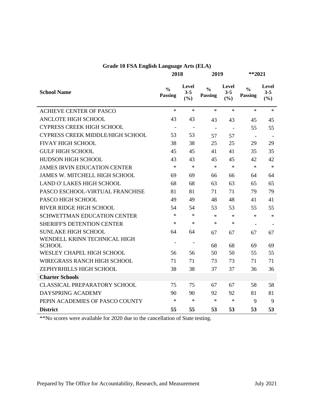| <b>Grade 10 FSA English Language Arts (ELA)</b> |  |  |  |  |
|-------------------------------------------------|--|--|--|--|
|-------------------------------------------------|--|--|--|--|

| 2018 | 20 |
|------|----|
|      |    |

**2018 2019 \*\*2021**

| <b>School Name</b>                   | $\frac{0}{0}$<br><b>Passing</b> | Level<br>$3 - 5$<br>(%)  | $\frac{0}{0}$<br>Passing | Level<br>$3 - 5$<br>(%)  | $\frac{0}{0}$<br><b>Passing</b> | Level<br>$3 - 5$<br>(%) |
|--------------------------------------|---------------------------------|--------------------------|--------------------------|--------------------------|---------------------------------|-------------------------|
| <b>ACHIEVE CENTER OF PASCO</b>       | $\ast$                          | $\ast$                   | $\ast$                   | $\ast$                   | $\ast$                          | $*$                     |
| <b>ANCLOTE HIGH SCHOOL</b>           | 43                              | 43                       | 43                       | 43                       | 45                              | 45                      |
| <b>CYPRESS CREEK HIGH SCHOOL</b>     | $\overline{\phantom{a}}$        | $\overline{\phantom{a}}$ | $\blacksquare$           | $\overline{\phantom{a}}$ | 55                              | 55                      |
| CYPRESS CREEK MIDDLE/HIGH SCHOOL     | 53                              | 53                       | 57                       | 57                       | $\blacksquare$                  |                         |
| <b>FIVAY HIGH SCHOOL</b>             | 38                              | 38                       | 25                       | 25                       | 29                              | 29                      |
| <b>GULF HIGH SCHOOL</b>              | 45                              | 45                       | 41                       | 41                       | 35                              | 35                      |
| HUDSON HIGH SCHOOL                   | 43                              | 43                       | 45                       | 45                       | 42                              | 42                      |
| <b>JAMES IRVIN EDUCATION CENTER</b>  | $\ast$                          | $\ast$                   | $\ast$                   | $\ast$                   | $\ast$                          | $\ast$                  |
| <b>JAMES W. MITCHELL HIGH SCHOOL</b> | 69                              | 69                       | 66                       | 66                       | 64                              | 64                      |
| <b>LAND O' LAKES HIGH SCHOOL</b>     | 68                              | 68                       | 63                       | 63                       | 65                              | 65                      |
| PASCO ESCHOOL-VIRTUAL FRANCHISE      | 81                              | 81                       | 71                       | 71                       | 79                              | 79                      |
| PASCO HIGH SCHOOL                    | 49                              | 49                       | 48                       | 48                       | 41                              | 41                      |
| <b>RIVER RIDGE HIGH SCHOOL</b>       | 54                              | 54                       | 53                       | 53                       | 55                              | 55                      |
| <b>SCHWETTMAN EDUCATION CENTER</b>   | $\ast$                          | $\ast$                   | $\ast$                   | $\ast$                   | $\ast$                          | $\ast$                  |
| <b>SHERIFF'S DETENTION CENTER</b>    | $\ast$                          | $\ast$                   | $\ast$                   | $\ast$                   |                                 |                         |
| <b>SUNLAKE HIGH SCHOOL</b>           | 64                              | 64                       | 67                       | 67                       | 67                              | 67                      |
| WENDELL KRINN TECHNICAL HIGH         | $\overline{\phantom{a}}$        |                          |                          |                          |                                 |                         |
| <b>SCHOOL</b>                        |                                 |                          | 68                       | 68                       | 69                              | 69                      |
| <b>WESLEY CHAPEL HIGH SCHOOL</b>     | 56                              | 56                       | 50                       | 50                       | 55                              | 55                      |
| <b>WIREGRASS RANCH HIGH SCHOOL</b>   | 71                              | 71                       | 73                       | 73                       | 71                              | 71                      |
| ZEPHYRHILLS HIGH SCHOOL              | 38                              | 38                       | 37                       | 37                       | 36                              | 36                      |
| <b>Charter Schools</b>               |                                 |                          |                          |                          |                                 |                         |
| <b>CLASSICAL PREPARATORY SCHOOL</b>  | 75                              | 75                       | 67                       | 67                       | 58                              | 58                      |
| DAYSPRING ACADEMY                    | 90                              | 90                       | 92                       | 92                       | 81                              | 81                      |
| PEPIN ACADEMIES OF PASCO COUNTY      | $\ast$                          | $\ast$                   | $\ast$                   | $\ast$                   | 9                               | 9                       |
| <b>District</b>                      | 55                              | 55                       | 53                       | 53                       | 53                              | 53                      |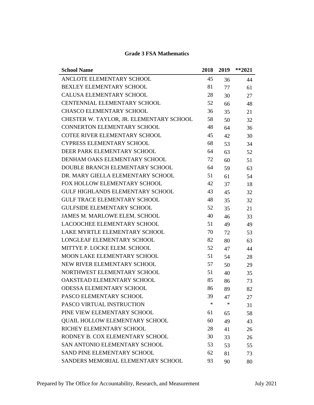| <b>School Name</b>                       | 2018   | 2019   | $*$ *2021 |
|------------------------------------------|--------|--------|-----------|
| ANCLOTE ELEMENTARY SCHOOL                | 45     | 36     | 44        |
| BEXLEY ELEMENTARY SCHOOL                 | 81     | 77     | 61        |
| <b>CALUSA ELEMENTARY SCHOOL</b>          | 28     | 30     | 27        |
| <b>CENTENNIAL ELEMENTARY SCHOOL</b>      | 52     | 66     | 48        |
| <b>CHASCO ELEMENTARY SCHOOL</b>          | 36     | 35     | 21        |
| CHESTER W. TAYLOR, JR. ELEMENTARY SCHOOL | 58     | 50     | 32        |
| CONNERTON ELEMENTARY SCHOOL              | 48     | 64     | 36        |
| <b>COTEE RIVER ELEMENTARY SCHOOL</b>     | 45     | 42     | 30        |
| <b>CYPRESS ELEMENTARY SCHOOL</b>         | 68     | 53     | 34        |
| DEER PARK ELEMENTARY SCHOOL              | 64     | 63     | 52        |
| DENHAM OAKS ELEMENTARY SCHOOL            | 72     | 60     | 51        |
| DOUBLE BRANCH ELEMENTARY SCHOOL          | 64     | 59     | 63        |
| DR. MARY GIELLA ELEMENTARY SCHOOL        | 51     | 61     | 54        |
| FOX HOLLOW ELEMENTARY SCHOOL             | 42     | 37     | 18        |
| <b>GULF HIGHLANDS ELEMENTARY SCHOOL</b>  | 43     | 45     | 32        |
| <b>GULF TRACE ELEMENTARY SCHOOL</b>      | 48     | 35     | 32        |
| <b>GULFSIDE ELEMENTARY SCHOOL</b>        | 52     | 35     | 21        |
| <b>JAMES M. MARLOWE ELEM. SCHOOL</b>     | 40     | 46     | 33        |
| LACOOCHEE ELEMENTARY SCHOOL              | 51     | 49     | 49        |
| LAKE MYRTLE ELEMENTARY SCHOOL            | 70     | 72     | 53        |
| LONGLEAF ELEMENTARY SCHOOL               | 82     | 80     | 63        |
| MITTYE P. LOCKE ELEM. SCHOOL             | 52     | 47     | 44        |
| MOON LAKE ELEMENTARY SCHOOL              | 51     | 54     | 28        |
| NEW RIVER ELEMENTARY SCHOOL              | 57     | 50     | 29        |
| NORTHWEST ELEMENTARY SCHOOL              | 51     | 40     | 35        |
| OAKSTEAD ELEMENTARY SCHOOL               | 85     | 86     | 73        |
| <b>ODESSA ELEMENTARY SCHOOL</b>          | 86     | 89     | 82        |
| PASCO ELEMENTARY SCHOOL                  | 39     | 47     | 27        |
| PASCO VIRTUAL INSTRUCTION                | $\ast$ | $\ast$ | 31        |
| PINE VIEW ELEMENTARY SCHOOL              | 61     | 65     | 58        |
| <b>QUAIL HOLLOW ELEMENTARY SCHOOL</b>    | 60     | 49     | 43        |
| RICHEY ELEMENTARY SCHOOL                 | 28     | 41     | 26        |
| RODNEY B. COX ELEMENTARY SCHOOL          | 30     | 33     | 26        |
| SAN ANTONIO ELEMENTARY SCHOOL            | 53     | 53     | 55        |
| SAND PINE ELEMENTARY SCHOOL              | 62     | 81     | 73        |
| SANDERS MEMORIAL ELEMENTARY SCHOOL       | 93     | 90     | 80        |

#### **Grade 3 FSA Mathematics**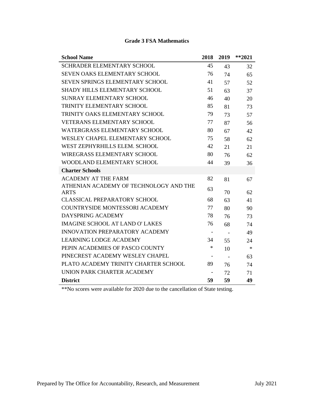| <b>School Name</b>                                    | 2018                     | 2019                     | $**2021$ |
|-------------------------------------------------------|--------------------------|--------------------------|----------|
| <b>SCHRADER ELEMENTARY SCHOOL</b>                     | 45                       | 43                       | 32       |
| <b>SEVEN OAKS ELEMENTARY SCHOOL</b>                   | 76                       | 74                       | 65       |
| SEVEN SPRINGS ELEMENTARY SCHOOL                       | 41                       | 57                       | 52       |
| <b>SHADY HILLS ELEMENTARY SCHOOL</b>                  | 51                       | 63                       | 37       |
| <b>SUNRAY ELEMENTARY SCHOOL</b>                       | 46                       | 40                       | 20       |
| TRINITY ELEMENTARY SCHOOL                             | 85                       | 81                       | 73       |
| TRINITY OAKS ELEMENTARY SCHOOL                        | 79                       | 73                       | 57       |
| <b>VETERANS ELEMENTARY SCHOOL</b>                     | 77                       | 87                       | 56       |
| WATERGRASS ELEMENTARY SCHOOL                          | 80                       | 67                       | 42       |
| WESLEY CHAPEL ELEMENTARY SCHOOL                       | 75                       | 58                       | 62       |
| WEST ZEPHYRHILLS ELEM. SCHOOL                         | 42                       | 21                       | 21       |
| <b>WIREGRASS ELEMENTARY SCHOOL</b>                    | 80                       | 76                       | 62       |
| WOODLAND ELEMENTARY SCHOOL                            | 44                       | 39                       | 36       |
| <b>Charter Schools</b>                                |                          |                          |          |
| <b>ACADEMY AT THE FARM</b>                            | 82                       | 81                       | 67       |
| ATHENIAN ACADEMY OF TECHNOLOGY AND THE<br><b>ARTS</b> | 63                       | 70                       | 62       |
| <b>CLASSICAL PREPARATORY SCHOOL</b>                   | 68                       | 63                       | 41       |
| <b>COUNTRYSIDE MONTESSORI ACADEMY</b>                 | 77                       | 80                       | 90       |
| DAYSPRING ACADEMY                                     | 78                       | 76                       | 73       |
| <b>IMAGINE SCHOOL AT LAND O' LAKES</b>                | 76                       | 68                       | 74       |
| <b>INNOVATION PREPARATORY ACADEMY</b>                 | $\overline{\phantom{a}}$ | $\overline{\phantom{a}}$ | 49       |
| <b>LEARNING LODGE ACADEMY</b>                         | 34                       | 55                       | 24       |
| PEPIN ACADEMIES OF PASCO COUNTY                       | $\ast$                   | 10                       | $\ast$   |
| PINECREST ACADEMY WESLEY CHAPEL                       |                          | $\overline{\phantom{a}}$ | 63       |
| PLATO ACADEMY TRINITY CHARTER SCHOOL                  | 89                       | 76                       | 74       |
| UNION PARK CHARTER ACADEMY                            |                          | 72                       | 71       |
| <b>District</b>                                       | 59                       | 59                       | 49       |

#### **Grade 3 FSA Mathematics**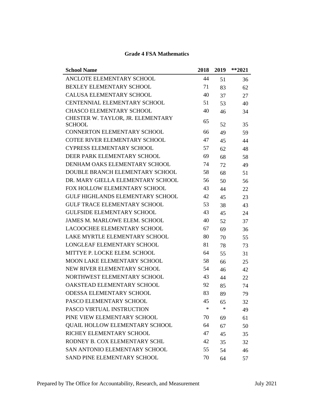| <b>School Name</b>                                 | 2018   | 2019   | $*$ *2021 |
|----------------------------------------------------|--------|--------|-----------|
| ANCLOTE ELEMENTARY SCHOOL                          | 44     | 51     | 36        |
| BEXLEY ELEMENTARY SCHOOL                           | 71     | 83     | 62        |
| <b>CALUSA ELEMENTARY SCHOOL</b>                    | 40     | 37     | 27        |
| <b>CENTENNIAL ELEMENTARY SCHOOL</b>                | 51     | 53     | 40        |
| <b>CHASCO ELEMENTARY SCHOOL</b>                    | 40     | 46     | 34        |
| CHESTER W. TAYLOR, JR. ELEMENTARY<br><b>SCHOOL</b> | 65     | 52     | 35        |
| <b>CONNERTON ELEMENTARY SCHOOL</b>                 | 66     | 49     | 59        |
| <b>COTEE RIVER ELEMENTARY SCHOOL</b>               | 47     | 45     | 44        |
| <b>CYPRESS ELEMENTARY SCHOOL</b>                   | 57     | 62     | 48        |
| DEER PARK ELEMENTARY SCHOOL                        | 69     | 68     | 58        |
| DENHAM OAKS ELEMENTARY SCHOOL                      | 74     | 72     | 49        |
| DOUBLE BRANCH ELEMENTARY SCHOOL                    | 58     | 68     | 51        |
| DR. MARY GIELLA ELEMENTARY SCHOOL                  | 56     | 50     | 56        |
| FOX HOLLOW ELEMENTARY SCHOOL                       | 43     | 44     | 22        |
| <b>GULF HIGHLANDS ELEMENTARY SCHOOL</b>            | 42     | 45     | 23        |
| <b>GULF TRACE ELEMENTARY SCHOOL</b>                | 53     | 38     | 43        |
| <b>GULFSIDE ELEMENTARY SCHOOL</b>                  | 43     | 45     | 24        |
| <b>JAMES M. MARLOWE ELEM. SCHOOL</b>               | 40     | 52     | 37        |
| <b>LACOOCHEE ELEMENTARY SCHOOL</b>                 | 67     | 69     | 36        |
| LAKE MYRTLE ELEMENTARY SCHOOL                      | 80     | 70     | 55        |
| <b>LONGLEAF ELEMENTARY SCHOOL</b>                  | 81     | 78     | 73        |
| MITTYE P. LOCKE ELEM. SCHOOL                       | 64     | 55     | 31        |
| MOON LAKE ELEMENTARY SCHOOL                        | 58     | 66     | 25        |
| NEW RIVER ELEMENTARY SCHOOL                        | 54     | 46     | 42        |
| NORTHWEST ELEMENTARY SCHOOL                        | 43     | 44     | 22        |
| OAKSTEAD ELEMENTARY SCHOOL                         | 92     | 85     | 74        |
| <b>ODESSA ELEMENTARY SCHOOL</b>                    | 83     | 89     | 79        |
| PASCO ELEMENTARY SCHOOL                            | 45     | 65     | 32        |
| PASCO VIRTUAL INSTRUCTION                          | $\ast$ | $\ast$ | 49        |
| PINE VIEW ELEMENTARY SCHOOL                        | 70     | 69     | 61        |
| <b>QUAIL HOLLOW ELEMENTARY SCHOOL</b>              | 64     | 67     | 50        |
| RICHEY ELEMENTARY SCHOOL                           | 47     | 45     | 35        |
| RODNEY B. COX ELEMENTARY SCHL                      | 42     | 35     | 32        |
| SAN ANTONIO ELEMENTARY SCHOOL                      | 55     | 54     | 46        |
| SAND PINE ELEMENTARY SCHOOL                        | 70     | 64     | 57        |

# **Grade 4 FSA Mathematics**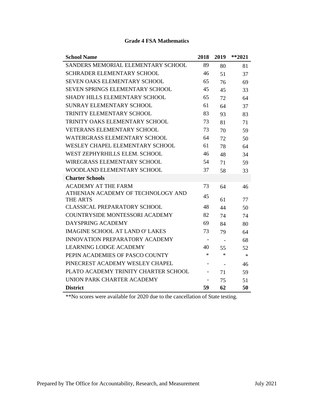| <b>School Name</b>                                    | 2018                     | 2019                     | $**2021$ |
|-------------------------------------------------------|--------------------------|--------------------------|----------|
| SANDERS MEMORIAL ELEMENTARY SCHOOL                    | 89                       | 80                       | 81       |
| <b>SCHRADER ELEMENTARY SCHOOL</b>                     | 46                       | 51                       | 37       |
| <b>SEVEN OAKS ELEMENTARY SCHOOL</b>                   | 65                       | 76                       | 69       |
| SEVEN SPRINGS ELEMENTARY SCHOOL                       | 45                       | 45                       | 33       |
| <b>SHADY HILLS ELEMENTARY SCHOOL</b>                  | 65                       | 72                       | 64       |
| <b>SUNRAY ELEMENTARY SCHOOL</b>                       | 61                       | 64                       | 37       |
| TRINITY ELEMENTARY SCHOOL                             | 83                       | 93                       | 83       |
| TRINITY OAKS ELEMENTARY SCHOOL                        | 73                       | 81                       | 71       |
| <b>VETERANS ELEMENTARY SCHOOL</b>                     | 73                       | 70                       | 59       |
| WATERGRASS ELEMENTARY SCHOOL                          | 64                       | 72                       | 50       |
| WESLEY CHAPEL ELEMENTARY SCHOOL                       | 61                       | 78                       | 64       |
| WEST ZEPHYRHILLS ELEM. SCHOOL                         | 46                       | 48                       | 34       |
| <b>WIREGRASS ELEMENTARY SCHOOL</b>                    | 54                       | 71                       | 59       |
| WOODLAND ELEMENTARY SCHOOL                            | 37                       | 58                       | 33       |
| <b>Charter Schools</b>                                |                          |                          |          |
| <b>ACADEMY AT THE FARM</b>                            | 73                       | 64                       | 46       |
| ATHENIAN ACADEMY OF TECHNOLOGY AND<br><b>THE ARTS</b> | 45                       | 61                       | 77       |
| <b>CLASSICAL PREPARATORY SCHOOL</b>                   | 48                       | 44                       | 50       |
| <b>COUNTRYSIDE MONTESSORI ACADEMY</b>                 | 82                       | 74                       | 74       |
| DAYSPRING ACADEMY                                     | 69                       | 84                       | 80       |
| <b>IMAGINE SCHOOL AT LAND O' LAKES</b>                | 73                       | 79                       | 64       |
| <b>INNOVATION PREPARATORY ACADEMY</b>                 | $\overline{\phantom{a}}$ |                          | 68       |
| <b>LEARNING LODGE ACADEMY</b>                         | 40                       | 55                       | 52       |
| PEPIN ACADEMIES OF PASCO COUNTY                       | $\ast$                   | $\ast$                   | $\ast$   |
| PINECREST ACADEMY WESLEY CHAPEL                       | $\blacksquare$           | $\overline{\phantom{a}}$ | 46       |
| PLATO ACADEMY TRINITY CHARTER SCHOOL                  | $\overline{\phantom{0}}$ | 71                       | 59       |
| UNION PARK CHARTER ACADEMY                            |                          | 75                       | 51       |
| <b>District</b>                                       | 59                       | 62                       | 50       |

#### **Grade 4 FSA Mathematics**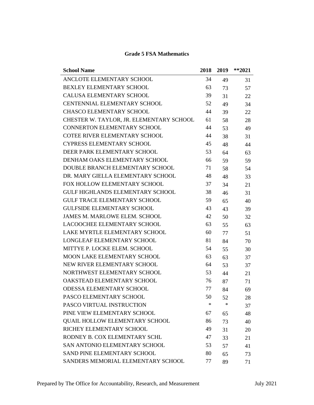| <b>School Name</b>                       | 2018   | 2019 | $**2021$ |
|------------------------------------------|--------|------|----------|
| ANCLOTE ELEMENTARY SCHOOL                | 34     | 49   | 31       |
| <b>BEXLEY ELEMENTARY SCHOOL</b>          | 63     | 73   | 57       |
| <b>CALUSA ELEMENTARY SCHOOL</b>          | 39     | 31   | 22       |
| <b>CENTENNIAL ELEMENTARY SCHOOL</b>      | 52     | 49   | 34       |
| <b>CHASCO ELEMENTARY SCHOOL</b>          | 44     | 39   | 22       |
| CHESTER W. TAYLOR, JR. ELEMENTARY SCHOOL | 61     | 58   | 28       |
| <b>CONNERTON ELEMENTARY SCHOOL</b>       | 44     | 53   | 49       |
| <b>COTEE RIVER ELEMENTARY SCHOOL</b>     | 44     | 38   | 31       |
| <b>CYPRESS ELEMENTARY SCHOOL</b>         | 45     | 48   | 44       |
| DEER PARK ELEMENTARY SCHOOL              | 53     | 64   | 63       |
| DENHAM OAKS ELEMENTARY SCHOOL            | 66     | 59   | 59       |
| DOUBLE BRANCH ELEMENTARY SCHOOL          | 71     | 58   | 54       |
| DR. MARY GIELLA ELEMENTARY SCHOOL        | 48     | 48   | 33       |
| FOX HOLLOW ELEMENTARY SCHOOL             | 37     | 34   | 21       |
| <b>GULF HIGHLANDS ELEMENTARY SCHOOL</b>  | 38     | 46   | 31       |
| <b>GULF TRACE ELEMENTARY SCHOOL</b>      | 59     | 65   | 40       |
| <b>GULFSIDE ELEMENTARY SCHOOL</b>        | 43     | 43   | 39       |
| <b>JAMES M. MARLOWE ELEM. SCHOOL</b>     | 42     | 50   | 32       |
| LACOOCHEE ELEMENTARY SCHOOL              | 63     | 55   | 63       |
| LAKE MYRTLE ELEMENTARY SCHOOL            | 60     | 77   | 51       |
| LONGLEAF ELEMENTARY SCHOOL               | 81     | 84   | 70       |
| MITTYE P. LOCKE ELEM. SCHOOL             | 54     | 55   | 30       |
| MOON LAKE ELEMENTARY SCHOOL              | 63     | 63   | 37       |
| NEW RIVER ELEMENTARY SCHOOL              | 64     | 53   | 37       |
| NORTHWEST ELEMENTARY SCHOOL              | 53     | 44   | 21       |
| OAKSTEAD ELEMENTARY SCHOOL               | 76     | 87   | 71       |
| <b>ODESSA ELEMENTARY SCHOOL</b>          | 77     | 84   | 69       |
| PASCO ELEMENTARY SCHOOL                  | 50     | 52   | 28       |
| PASCO VIRTUAL INSTRUCTION                | $\ast$ | ∗    | 37       |
| PINE VIEW ELEMENTARY SCHOOL              | 67     | 65   | 48       |
| <b>QUAIL HOLLOW ELEMENTARY SCHOOL</b>    | 86     | 73   | 40       |
| RICHEY ELEMENTARY SCHOOL                 | 49     | 31   | 20       |
| RODNEY B. COX ELEMENTARY SCHL            | 47     | 33   | 21       |
| SAN ANTONIO ELEMENTARY SCHOOL            | 53     | 57   | 41       |
| SAND PINE ELEMENTARY SCHOOL              | 80     | 65   | 73       |
| SANDERS MEMORIAL ELEMENTARY SCHOOL       | 77     | 89   | 71       |

#### **Grade 5 FSA Mathematics**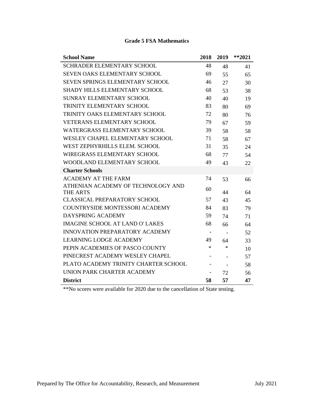| <b>School Name</b>                     | 2018                     | 2019                     | $**2021$ |
|----------------------------------------|--------------------------|--------------------------|----------|
| <b>SCHRADER ELEMENTARY SCHOOL</b>      | 48                       | 48                       | 41       |
| <b>SEVEN OAKS ELEMENTARY SCHOOL</b>    | 69                       | 55                       | 65       |
| SEVEN SPRINGS ELEMENTARY SCHOOL        | 46                       | 27                       | 30       |
| <b>SHADY HILLS ELEMENTARY SCHOOL</b>   | 68                       | 53                       | 38       |
| SUNRAY ELEMENTARY SCHOOL               | 40                       | 40                       | 19       |
| TRINITY ELEMENTARY SCHOOL              | 83                       | 80                       | 69       |
| TRINITY OAKS ELEMENTARY SCHOOL         | 72                       | 80                       | 76       |
| <b>VETERANS ELEMENTARY SCHOOL</b>      | 79                       | 67                       | 59       |
| <b>WATERGRASS ELEMENTARY SCHOOL</b>    | 39                       | 58                       | 58       |
| WESLEY CHAPEL ELEMENTARY SCHOOL        | 71                       | 58                       | 67       |
| WEST ZEPHYRHILLS ELEM. SCHOOL          | 31                       | 35                       | 24       |
| WIREGRASS ELEMENTARY SCHOOL            | 68                       | 77                       | 54       |
| <b>WOODLAND ELEMENTARY SCHOOL</b>      | 49                       | 43                       | 22       |
| <b>Charter Schools</b>                 |                          |                          |          |
| <b>ACADEMY AT THE FARM</b>             | 74                       | 53                       | 66       |
| ATHENIAN ACADEMY OF TECHNOLOGY AND     | 60                       |                          |          |
| <b>THE ARTS</b>                        |                          | 44                       | 64       |
| <b>CLASSICAL PREPARATORY SCHOOL</b>    | 57                       | 43                       | 45       |
| <b>COUNTRYSIDE MONTESSORI ACADEMY</b>  | 84                       | 83                       | 79       |
| DAYSPRING ACADEMY                      | 59                       | 74                       | 71       |
| <b>IMAGINE SCHOOL AT LAND O' LAKES</b> | 68                       | 66                       | 64       |
| <b>INNOVATION PREPARATORY ACADEMY</b>  | $\overline{\phantom{a}}$ | $\overline{\phantom{a}}$ | 52       |
| <b>LEARNING LODGE ACADEMY</b>          | 49                       | 64                       | 33       |
| PEPIN ACADEMIES OF PASCO COUNTY        | $\ast$                   | ∗                        | 10       |
| PINECREST ACADEMY WESLEY CHAPEL        |                          | $\overline{a}$           | 57       |
| PLATO ACADEMY TRINITY CHARTER SCHOOL   |                          | $\overline{\phantom{a}}$ | 58       |
| UNION PARK CHARTER ACADEMY             |                          | 72                       | 56       |
| <b>District</b>                        | 58                       | 57                       | 47       |

#### **Grade 5 FSA Mathematics**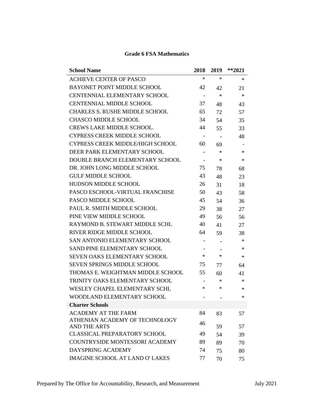| <b>School Name</b>                                    | 2018                     | 2019                     | $**2021$ |
|-------------------------------------------------------|--------------------------|--------------------------|----------|
| <b>ACHIEVE CENTER OF PASCO</b>                        | $\ast$                   | ∗                        | $\ast$   |
| <b>BAYONET POINT MIDDLE SCHOOL</b>                    | 42                       | 42                       | 21       |
| CENTENNIAL ELEMENTARY SCHOOL                          | $\overline{\phantom{a}}$ | $\ast$                   | $\ast$   |
| <b>CENTENNIAL MIDDLE SCHOOL</b>                       | 37                       | 48                       | 43       |
| <b>CHARLES S. RUSHE MIDDLE SCHOOL</b>                 | 65                       | 72                       | 57       |
| <b>CHASCO MIDDLE SCHOOL</b>                           | 34                       | 54                       | 35       |
| <b>CREWS LAKE MIDDLE SCHOOL.</b>                      | 44                       | 55                       | 33       |
| <b>CYPRESS CREEK MIDDLE SCHOOL</b>                    | $\overline{\phantom{a}}$ | $\overline{\phantom{a}}$ | 48       |
| <b>CYPRESS CREEK MIDDLE/HIGH SCHOOL</b>               | 60                       | 69                       |          |
| DEER PARK ELEMENTARY SCHOOL                           | $\overline{\phantom{0}}$ | ∗                        | $\ast$   |
| DOUBLE BRANCH ELEMENTARY SCHOOL                       |                          | $\ast$                   | $\ast$   |
| DR. JOHN LONG MIDDLE SCHOOL                           | 75                       | 78                       | 68       |
| <b>GULF MIDDLE SCHOOL</b>                             | 43                       | 48                       | 23       |
| <b>HUDSON MIDDLE SCHOOL</b>                           | 26                       | 31                       | 18       |
| PASCO ESCHOOL-VIRTUAL FRANCHISE                       | 50                       | 43                       | 58       |
| PASCO MIDDLE SCHOOL                                   | 45                       | 54                       | 36       |
| PAUL R. SMITH MIDDLE SCHOOL                           | 29                       | 38                       | 27       |
| PINE VIEW MIDDLE SCHOOL                               | 49                       | 56                       | 56       |
| RAYMOND B. STEWART MIDDLE SCHL                        | 40                       | 41                       | 27       |
| <b>RIVER RIDGE MIDDLE SCHOOL</b>                      | 64                       | 59                       | 38       |
| <b>SAN ANTONIO ELEMENTARY SCHOOL</b>                  | $\overline{\phantom{a}}$ |                          | $\ast$   |
| SAND PINE ELEMENTARY SCHOOL                           |                          |                          | $\ast$   |
| <b>SEVEN OAKS ELEMENTARY SCHOOL</b>                   | $\ast$                   | ∗                        | $\ast$   |
| <b>SEVEN SPRINGS MIDDLE SCHOOL</b>                    | 75                       | 77                       | 64       |
| THOMAS E. WEIGHTMAN MIDDLE SCHOOL                     | 55                       | 60                       | 41       |
| TRINITY OAKS ELEMENTARY SCHOOL                        |                          | ∗                        | $\ast$   |
| WESLEY CHAPEL ELEMENTARY SCHL                         | ∗                        | ∗                        | $\ast$   |
| WOODLAND ELEMENTARY SCHOOL                            |                          |                          | $\ast$   |
| <b>Charter Schools</b>                                |                          |                          |          |
| <b>ACADEMY AT THE FARM</b>                            | 84                       | 83                       | 57       |
| ATHENIAN ACADEMY OF TECHNOLOGY<br><b>AND THE ARTS</b> | 46                       | 59                       | 57       |
| <b>CLASSICAL PREPARATORY SCHOOL</b>                   | 49                       | 54                       | 39       |
| COUNTRYSIDE MONTESSORI ACADEMY                        | 89                       | 89                       | 70       |
| DAYSPRING ACADEMY                                     | 74                       | 75                       | 80       |
| <b>IMAGINE SCHOOL AT LAND O' LAKES</b>                | 77                       | 70                       | 75       |

# **Grade 6 FSA Mathematics**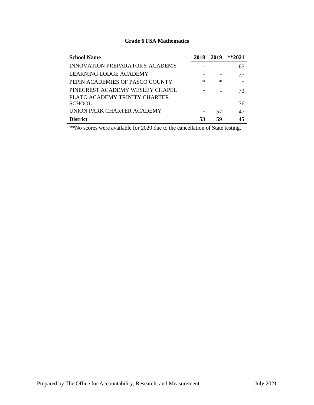#### **Grade 6 FSA Mathematics**

| <b>School Name</b>                             | 2018 2019 |    | $*2021$ |
|------------------------------------------------|-----------|----|---------|
| INNOVATION PREPARATORY ACADEMY                 |           |    | 65      |
| LEARNING LODGE ACADEMY                         |           |    | 27      |
| PEPIN ACADEMIES OF PASCO COUNTY                | ∗         | ∗  | $\ast$  |
| PINECREST ACADEMY WESLEY CHAPEL                |           |    | 73      |
| PLATO ACADEMY TRINITY CHARTER<br><b>SCHOOL</b> |           |    | 76      |
| UNION PARK CHARTER ACADEMY                     |           | 57 | 47      |
| <b>District</b>                                | 53        | 59 | 45      |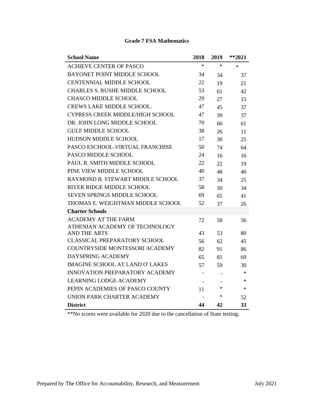| <b>School Name</b>                     | 2018   | 2019   | $*$ *2021 |
|----------------------------------------|--------|--------|-----------|
| <b>ACHIEVE CENTER OF PASCO</b>         | $\ast$ | $\ast$ | $\ast$    |
| BAYONET POINT MIDDLE SCHOOL            | 34     | 34     | 37        |
| <b>CENTENNIAL MIDDLE SCHOOL</b>        | 22     | 19     | 21        |
| <b>CHARLES S. RUSHE MIDDLE SCHOOL</b>  | 53     | 61     | 42        |
| <b>CHASCO MIDDLE SCHOOL</b>            | 29     | 27     | 15        |
| CREWS LAKE MIDDLE SCHOOL.              | 47     | 45     | 37        |
| CYPRESS CREEK MIDDLE/HIGH SCHOOL       | 47     | 39     | 37        |
| DR. JOHN LONG MIDDLE SCHOOL            | 70     | 66     | 61        |
| <b>GULF MIDDLE SCHOOL</b>              | 38     | 26     | 11        |
| <b>HUDSON MIDDLE SCHOOL</b>            | 17     | 30     | 25        |
| PASCO ESCHOOL-VIRTUAL FRANCHISE        | 50     | 74     | 64        |
| PASCO MIDDLE SCHOOL                    | 24     | 16     | 16        |
| PAUL R. SMITH MIDDLE SCHOOL            | 22     | 22     | 19        |
| PINE VIEW MIDDLE SCHOOL                | 40     | 48     | 40        |
| RAYMOND B. STEWART MIDDLE SCHOOL       | 37     | 34     | 25        |
| <b>RIVER RIDGE MIDDLE SCHOOL</b>       | 58     | 50     | 34        |
| <b>SEVEN SPRINGS MIDDLE SCHOOL</b>     | 69     | 65     | 41        |
| THOMAS E. WEIGHTMAN MIDDLE SCHOOL      | 52     | 37     | 26        |
| <b>Charter Schools</b>                 |        |        |           |
| <b>ACADEMY AT THE FARM</b>             | 72     | 58     | 56        |
| ATHENIAN ACADEMY OF TECHNOLOGY         |        |        |           |
| <b>AND THE ARTS</b>                    | 43     | 53     | 80        |
| <b>CLASSICAL PREPARATORY SCHOOL</b>    | 56     | 62     | 45        |
| COUNTRYSIDE MONTESSORI ACADEMY         | 82     | 91     | 86        |
| DAYSPRING ACADEMY                      | 65     | 81     | 69        |
| <b>IMAGINE SCHOOL AT LAND O' LAKES</b> | 57     | 59     | 30        |
| INNOVATION PREPARATORY ACADEMY         |        |        | $\ast$    |
| <b>LEARNING LODGE ACADEMY</b>          |        |        | $\ast$    |
| PEPIN ACADEMIES OF PASCO COUNTY        | 11     | ∗      | $\ast$    |
| UNION PARK CHARTER ACADEMY             |        | *      | 52        |
| <b>District</b>                        | 44     | 42     | 33        |

#### **Grade 7 FSA Mathematics**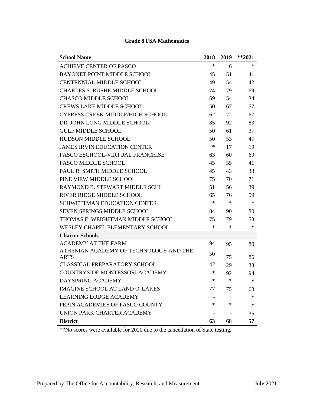| <b>School Name</b>                                    | 2018 | 2019   | $**2021$ |
|-------------------------------------------------------|------|--------|----------|
| <b>ACHIEVE CENTER OF PASCO</b>                        | ∗    | 6      | $\ast$   |
| <b>BAYONET POINT MIDDLE SCHOOL</b>                    | 45   | 51     | 41       |
| <b>CENTENNIAL MIDDLE SCHOOL</b>                       | 49   | 54     | 42       |
| <b>CHARLES S. RUSHE MIDDLE SCHOOL</b>                 | 74   | 79     | 69       |
| <b>CHASCO MIDDLE SCHOOL</b>                           | 59   | 54     | 34       |
| <b>CREWS LAKE MIDDLE SCHOOL.</b>                      | 50   | 67     | 57       |
| <b>CYPRESS CREEK MIDDLE/HIGH SCHOOL</b>               | 62   | 72     | 67       |
| DR. JOHN LONG MIDDLE SCHOOL                           | 85   | 92     | 83       |
| <b>GULF MIDDLE SCHOOL</b>                             | 50   | 61     | 37       |
| <b>HUDSON MIDDLE SCHOOL</b>                           | 50   | 53     | 47       |
| <b>JAMES IRVIN EDUCATION CENTER</b>                   | ∗    | 17     | 19       |
| PASCO ESCHOOL-VIRTUAL FRANCHISE                       | 63   | 60     | 69       |
| PASCO MIDDLE SCHOOL                                   | 45   | 55     | 41       |
| PAUL R. SMITH MIDDLE SCHOOL                           | 45   | 43     | 33       |
| PINE VIEW MIDDLE SCHOOL                               | 75   | 70     | 71       |
| RAYMOND B. STEWART MIDDLE SCHL                        | 51   | 56     | 39       |
| RIVER RIDGE MIDDLE SCHOOL                             | 65   | 76     | 59       |
| <b>SCHWETTMAN EDUCATION CENTER</b>                    | ∗    | $\ast$ | $\ast$   |
| <b>SEVEN SPRINGS MIDDLE SCHOOL</b>                    | 84   | 90     | 80       |
| THOMAS E. WEIGHTMAN MIDDLE SCHOOL                     | 75   | 79     | 53       |
| WESLEY CHAPEL ELEMENTARY SCHOOL                       | ∗    | $\ast$ | $\ast$   |
| <b>Charter Schools</b>                                |      |        |          |
| ACADEMY AT THE FARM                                   | 94   | 95     | 80       |
| ATHENIAN ACADEMY OF TECHNOLOGY AND THE<br><b>ARTS</b> | 50   | 75     | 86       |
| <b>CLASSICAL PREPARATORY SCHOOL</b>                   | 42   | 29     | 33       |
| <b>COUNTRYSIDE MONTESSORI ACADEMY</b>                 | ∗    | 92     | 94       |
| <b>DAYSPRING ACADEMY</b>                              | ∗    | $\ast$ | $\ast$   |
| <b>IMAGINE SCHOOL AT LAND O' LAKES</b>                | 77   | 75     | 68       |
| <b>LEARNING LODGE ACADEMY</b>                         |      |        | ∗        |
| PEPIN ACADEMIES OF PASCO COUNTY                       | ∗    | $\ast$ | ∗        |
| UNION PARK CHARTER ACADEMY                            |      |        | 35       |
| <b>District</b>                                       | 63   | 68     | 57       |

#### **Grade 8 FSA Mathematics**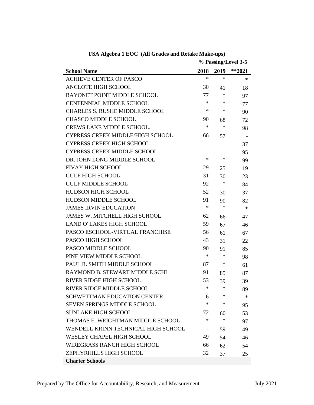|                                       | % Passing/Level 3-5      |        |           |
|---------------------------------------|--------------------------|--------|-----------|
| <b>School Name</b>                    | 2018                     | 2019   | $*$ *2021 |
| <b>ACHIEVE CENTER OF PASCO</b>        | $\ast$                   | $\ast$ | ∗         |
| <b>ANCLOTE HIGH SCHOOL</b>            | 30                       | 41     | 18        |
| <b>BAYONET POINT MIDDLE SCHOOL</b>    | 77                       | ∗      | 97        |
| <b>CENTENNIAL MIDDLE SCHOOL</b>       | $\ast$                   | ∗      | 77        |
| <b>CHARLES S. RUSHE MIDDLE SCHOOL</b> | $\ast$                   | ∗      | 90        |
| <b>CHASCO MIDDLE SCHOOL</b>           | 90                       | 68     | 72        |
| <b>CREWS LAKE MIDDLE SCHOOL.</b>      | $\ast$                   | $\ast$ | 98        |
| CYPRESS CREEK MIDDLE/HIGH SCHOOL      | 66                       | 57     |           |
| <b>CYPRESS CREEK HIGH SCHOOL</b>      | $\overline{\phantom{a}}$ |        | 37        |
| <b>CYPRESS CREEK MIDDLE SCHOOL</b>    |                          |        | 95        |
| DR. JOHN LONG MIDDLE SCHOOL           | $\ast$                   | ∗      | 99        |
| <b>FIVAY HIGH SCHOOL</b>              | 29                       | 25     | 19        |
| <b>GULF HIGH SCHOOL</b>               | 31                       | 30     | 23        |
| <b>GULF MIDDLE SCHOOL</b>             | 92                       | ∗      | 84        |
| HUDSON HIGH SCHOOL                    | 52                       | 30     | 37        |
| <b>HUDSON MIDDLE SCHOOL</b>           | 91                       | 90     | 82        |
| <b>JAMES IRVIN EDUCATION</b>          | $\ast$                   | $\ast$ | ∗         |
| <b>JAMES W. MITCHELL HIGH SCHOOL</b>  | 62                       | 66     | 47        |
| <b>LAND O' LAKES HIGH SCHOOL</b>      | 59                       | 67     | 46        |
| PASCO ESCHOOL-VIRTUAL FRANCHISE       | 56                       | 61     | 67        |
| PASCO HIGH SCHOOL                     | 43                       | 31     | 22        |
| PASCO MIDDLE SCHOOL                   | 90                       | 91     | 85        |
| PINE VIEW MIDDLE SCHOOL               | $\ast$                   | ∗      | 98        |
| PAUL R. SMITH MIDDLE SCHOOL           | 87                       | ∗      | 61        |
| RAYMOND B. STEWART MIDDLE SCHL        | 91                       | 85     | 87        |
| RIVER RIDGE HIGH SCHOOL               | 53                       | 39     | 39        |
| RIVER RIDGE MIDDLE SCHOOL             |                          | ×      | 89        |
| <b>SCHWETTMAN EDUCATION CENTER</b>    | 6                        | $\ast$ | ∗         |
| <b>SEVEN SPRINGS MIDDLE SCHOOL</b>    | $\ast$                   | ∗      | 95        |
| <b>SUNLAKE HIGH SCHOOL</b>            | 72                       | 60     | 53        |
| THOMAS E. WEIGHTMAN MIDDLE SCHOOL     | $\ast$                   | $\ast$ | 97        |
| WENDELL KRINN TECHNICAL HIGH SCHOOL   | $\overline{\phantom{a}}$ | 59     | 49        |
| <b>WESLEY CHAPEL HIGH SCHOOL</b>      | 49                       | 54     | 46        |
| <b>WIREGRASS RANCH HIGH SCHOOL</b>    | 66                       | 62     | 54        |
| ZEPHYRHILLS HIGH SCHOOL               | 32                       | 37     | 25        |
| <b>Charter Schools</b>                |                          |        |           |

**FSA Algebra 1 EOC (All Grades and Retake Make-ups)**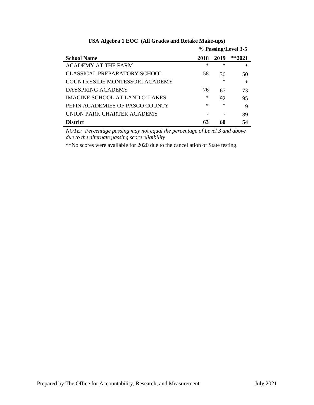|                                 | % Passing/Level 3-5 |        |         |
|---------------------------------|---------------------|--------|---------|
| <b>School Name</b>              | 2018                | 2019   | $*2021$ |
| <b>ACADEMY AT THE FARM</b>      | $\ast$              | $\ast$ | $\ast$  |
| CLASSICAL PREPARATORY SCHOOL    | 58                  | 30     | 50      |
| COUNTRYSIDE MONTESSORI ACADEMY  |                     | $\ast$ | $\ast$  |
| DAYSPRING ACADEMY               | 76                  | 67     | 73      |
| IMAGINE SCHOOL AT LAND O' LAKES | $^{\ast}$           | 92     | 95      |
| PEPIN ACADEMIES OF PASCO COUNTY | $\ast$              | $\ast$ | 9       |
| UNION PARK CHARTER ACADEMY      |                     |        | 89      |
| <b>District</b>                 | 63                  | 60     | 54      |

# **FSA Algebra 1 EOC (All Grades and Retake Make-ups)**

*NOTE: Percentage passing may not equal the percentage of Level 3 and above due to the alternate passing score eligibility*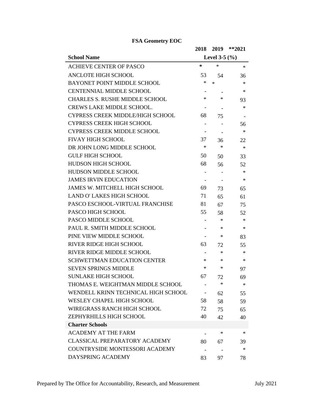|                                         | 2018   | 2019              | $**2021$ |
|-----------------------------------------|--------|-------------------|----------|
| <b>School Name</b>                      |        | Level 3-5 $(\% )$ |          |
| <b>ACHIEVE CENTER OF PASCO</b>          | ∗      | $\ast$            | ∗        |
| <b>ANCLOTE HIGH SCHOOL</b>              | 53     | 54                | 36       |
| <b>BAYONET POINT MIDDLE SCHOOL</b>      | ∗      | ∗                 | ∗        |
| <b>CENTENNIAL MIDDLE SCHOOL</b>         |        |                   | ∗        |
| <b>CHARLES S. RUSHE MIDDLE SCHOOL</b>   | $\ast$ | ∗                 | 93       |
| <b>CREWS LAKE MIDDLE SCHOOL.</b>        |        |                   | ∗        |
| <b>CYPRESS CREEK MIDDLE/HIGH SCHOOL</b> | 68     | 75                |          |
| <b>CYPRESS CREEK HIGH SCHOOL</b>        |        |                   | 56       |
| <b>CYPRESS CREEK MIDDLE SCHOOL</b>      |        |                   | $\ast$   |
| <b>FIVAY HIGH SCHOOL</b>                | 37     | 36                | 22       |
| DR JOHN LONG MIDDLE SCHOOL              | $\ast$ | ∗                 | $\ast$   |
| <b>GULF HIGH SCHOOL</b>                 | 50     | 50                | 33       |
| HUDSON HIGH SCHOOL                      | 68     | 56                | 52       |
| HUDSON MIDDLE SCHOOL                    |        |                   | ∗        |
| <b>JAMES IRVIN EDUCATION</b>            |        |                   | ∗        |
| <b>JAMES W. MITCHELL HIGH SCHOOL</b>    | 69     | 73                | 65       |
| <b>LAND O' LAKES HIGH SCHOOL</b>        | 71     | 65                | 61       |
| PASCO ESCHOOL-VIRTUAL FRANCHISE         | 81     | 67                | 75       |
| PASCO HIGH SCHOOL                       | 55     | 58                | 52       |
| PASCO MIDDLE SCHOOL                     |        | ∗                 | ∗        |
| PAUL R. SMITH MIDDLE SCHOOL             |        | ∗                 | ∗        |
| PINE VIEW MIDDLE SCHOOL                 |        | ∗                 | 83       |
| <b>RIVER RIDGE HIGH SCHOOL</b>          | 63     | 72                | 55       |
| RIVER RIDGE MIDDLE SCHOOL               |        | ∗                 | ∗        |
| <b>SCHWETTMAN EDUCATION CENTER</b>      | $\ast$ | ∗                 | ∗        |
| <b>SEVEN SPRINGS MIDDLE</b>             | $\ast$ | ∗                 | 97       |
| <b>SUNLAKE HIGH SCHOOL</b>              | 67     | 72                | 69       |
| THOMAS E. WEIGHTMAN MIDDLE SCHOOL       |        | ∗                 | ∗        |
| WENDELL KRINN TECHNICAL HIGH SCHOOL     |        | 62                | 55       |
| <b>WESLEY CHAPEL HIGH SCHOOL</b>        | 58     | 58                | 59       |
| <b>WIREGRASS RANCH HIGH SCHOOL</b>      | 72     | 75                | 65       |
| ZEPHYRHILLS HIGH SCHOOL                 | 40     | 42                | 40       |
| <b>Charter Schools</b>                  |        |                   |          |
| <b>ACADEMY AT THE FARM</b>              |        | ∗                 | ∗        |
| <b>CLASSICAL PREPARATORY ACADEMY</b>    | 80     | 67                | 39       |
| COUNTRYSIDE MONTESSORI ACADEMY          |        |                   | ∗        |
| DAYSPRING ACADEMY                       | 83     | 97                | 78       |

**FSA Geometry EOC**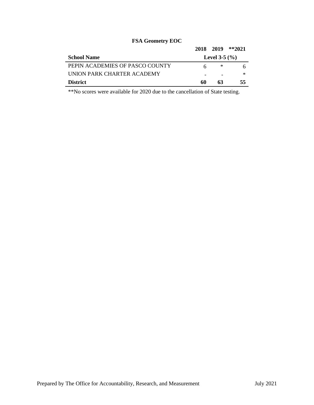|                                 | 2018 2019 |                          | $*2021$ |
|---------------------------------|-----------|--------------------------|---------|
| <b>School Name</b>              |           | <b>Level 3-5</b> $(\% )$ |         |
| PEPIN ACADEMIES OF PASCO COUNTY |           | ∗                        |         |
| UNION PARK CHARTER ACADEMY      |           |                          | ∗       |
| <b>District</b>                 | 60        | 63                       | 55      |

# **FSA Geometry EOC**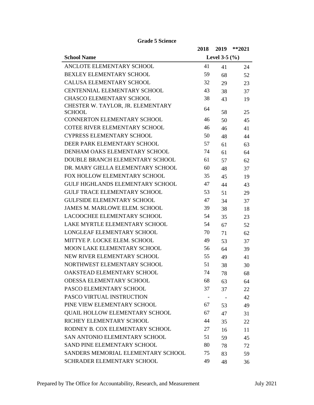|                                             | 2018 | 2019              | $**2021$ |
|---------------------------------------------|------|-------------------|----------|
| <b>School Name</b>                          |      | Level 3-5 $(\% )$ |          |
| ANCLOTE ELEMENTARY SCHOOL                   | 41   | 41                | 24       |
| <b>BEXLEY ELEMENTARY SCHOOL</b>             | 59   | 68                | 52       |
| <b>CALUSA ELEMENTARY SCHOOL</b>             | 32   | 29                | 23       |
| <b>CENTENNIAL ELEMENTARY SCHOOL</b>         | 43   | 38                | 37       |
| <b>CHASCO ELEMENTARY SCHOOL</b>             | 38   | 43                | 19       |
| CHESTER W. TAYLOR, JR. ELEMENTARY<br>SCHOOL | 64   | 58                | 25       |
| CONNERTON ELEMENTARY SCHOOL                 | 46   | 50                | 45       |
| <b>COTEE RIVER ELEMENTARY SCHOOL</b>        | 46   | 46                | 41       |
| <b>CYPRESS ELEMENTARY SCHOOL</b>            | 50   | 48                | 44       |
| DEER PARK ELEMENTARY SCHOOL                 | 57   | 61                | 63       |
| DENHAM OAKS ELEMENTARY SCHOOL               | 74   | 61                | 64       |
| DOUBLE BRANCH ELEMENTARY SCHOOL             | 61   | 57                | 62       |
| DR. MARY GIELLA ELEMENTARY SCHOOL           | 60   | 48                | 37       |
| FOX HOLLOW ELEMENTARY SCHOOL                | 35   | 45                | 19       |
| <b>GULF HIGHLANDS ELEMENTARY SCHOOL</b>     | 47   | 44                | 43       |
| <b>GULF TRACE ELEMENTARY SCHOOL</b>         | 53   | 51                | 29       |
| <b>GULFSIDE ELEMENTARY SCHOOL</b>           | 47   | 34                | 37       |
| <b>JAMES M. MARLOWE ELEM. SCHOOL</b>        | 39   | 38                | 18       |
| LACOOCHEE ELEMENTARY SCHOOL                 | 54   | 35                | 23       |
| LAKE MYRTLE ELEMENTARY SCHOOL               | 54   | 67                | 52       |
| <b>LONGLEAF ELEMENTARY SCHOOL</b>           | 70   | 71                | 62       |
| MITTYE P. LOCKE ELEM. SCHOOL                | 49   | 53                | 37       |
| MOON LAKE ELEMENTARY SCHOOL                 | 56   | 64                | 39       |
| NEW RIVER ELEMENTARY SCHOOL                 | 55   | 49                | 41       |
| NORTHWEST ELEMENTARY SCHOOL                 | 51   | 38                | 30       |
| OAKSTEAD ELEMENTARY SCHOOL                  | 74   | 78                | 68       |
| <b>ODESSA ELEMENTARY SCHOOL</b>             | 68   | 63                | 64       |
| PASCO ELEMENTARY SCHOOL                     | 37   | 37                | 22       |
| PASCO VIRTUAL INSTRUCTION                   |      |                   | 42       |
| PINE VIEW ELEMENTARY SCHOOL                 | 67   | 53                | 49       |
| <b>QUAIL HOLLOW ELEMENTARY SCHOOL</b>       | 67   | 47                | 31       |
| RICHEY ELEMENTARY SCHOOL                    | 44   | 35                | 22       |
| RODNEY B. COX ELEMENTARY SCHOOL             | 27   | 16                | 11       |
| SAN ANTONIO ELEMENTARY SCHOOL               | 51   | 59                | 45       |
| <b>SAND PINE ELEMENTARY SCHOOL</b>          | 80   | 78                | 72       |
| SANDERS MEMORIAL ELEMENTARY SCHOOL          | 75   | 83                | 59       |
| SCHRADER ELEMENTARY SCHOOL                  | 49   | 48                | 36       |

**Grade 5 Science**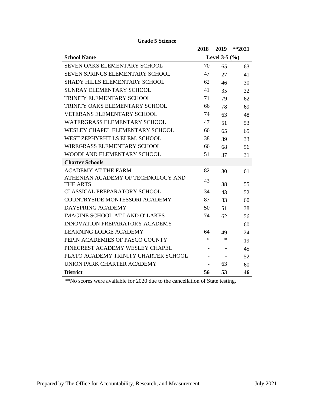|                                        | 2018                     | 2019   | $*$ *2021 |
|----------------------------------------|--------------------------|--------|-----------|
| <b>School Name</b>                     | Level 3-5 $(\%)$         |        |           |
| <b>SEVEN OAKS ELEMENTARY SCHOOL</b>    | 70                       | 65     | 63        |
| SEVEN SPRINGS ELEMENTARY SCHOOL        | 47                       | 27     | 41        |
| <b>SHADY HILLS ELEMENTARY SCHOOL</b>   | 62                       | 46     | 30        |
| <b>SUNRAY ELEMENTARY SCHOOL</b>        | 41                       | 35     | 32        |
| TRINITY ELEMENTARY SCHOOL              | 71                       | 79     | 62        |
| TRINITY OAKS ELEMENTARY SCHOOL         | 66                       | 78     | 69        |
| <b>VETERANS ELEMENTARY SCHOOL</b>      | 74                       | 63     | 48        |
| <b>WATERGRASS ELEMENTARY SCHOOL</b>    | 47                       | 51     | 53        |
| WESLEY CHAPEL ELEMENTARY SCHOOL        | 66                       | 65     | 65        |
| WEST ZEPHYRHILLS ELEM. SCHOOL          | 38                       | 39     | 33        |
| <b>WIREGRASS ELEMENTARY SCHOOL</b>     | 66                       | 68     | 56        |
| WOODLAND ELEMENTARY SCHOOL             | 51                       | 37     | 31        |
| <b>Charter Schools</b>                 |                          |        |           |
| <b>ACADEMY AT THE FARM</b>             | 82                       | 80     | 61        |
| ATHENIAN ACADEMY OF TECHNOLOGY AND     | 43                       |        |           |
| <b>THE ARTS</b>                        |                          | 38     | 55        |
| <b>CLASSICAL PREPARATORY SCHOOL</b>    | 34                       | 43     | 52        |
| <b>COUNTRYSIDE MONTESSORI ACADEMY</b>  | 87                       | 83     | 60        |
| DAYSPRING ACADEMY                      | 50                       | 51     | 38        |
| <b>IMAGINE SCHOOL AT LAND O' LAKES</b> | 74                       | 62     | 56        |
| <b>INNOVATION PREPARATORY ACADEMY</b>  | $\overline{\phantom{a}}$ |        | 60        |
| <b>LEARNING LODGE ACADEMY</b>          | 64                       | 49     | 24        |
| PEPIN ACADEMIES OF PASCO COUNTY        | $\ast$                   | $\ast$ | 19        |
| PINECREST ACADEMY WESLEY CHAPEL        | $\overline{\phantom{a}}$ |        | 45        |
| PLATO ACADEMY TRINITY CHARTER SCHOOL   | $\overline{\phantom{a}}$ |        | 52        |
| UNION PARK CHARTER ACADEMY             | $\overline{a}$           | 63     | 60        |
| <b>District</b>                        | 56                       | 53     | 46        |

**Grade 5 Science**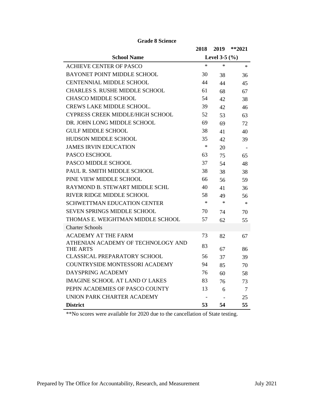|                                         | 2018    | 2019              | $**2021$ |  |
|-----------------------------------------|---------|-------------------|----------|--|
| <b>School Name</b>                      |         | Level 3-5 $(\% )$ |          |  |
| <b>ACHIEVE CENTER OF PASCO</b>          | $\star$ | $\star$           | $\ast$   |  |
| BAYONET POINT MIDDLE SCHOOL             | 30      | 38                | 36       |  |
| <b>CENTENNIAL MIDDLE SCHOOL</b>         | 44      | 44                | 45       |  |
| <b>CHARLES S. RUSHE MIDDLE SCHOOL</b>   | 61      | 68                | 67       |  |
| <b>CHASCO MIDDLE SCHOOL</b>             | 54      | 42                | 38       |  |
| <b>CREWS LAKE MIDDLE SCHOOL.</b>        | 39      | 42                | 46       |  |
| <b>CYPRESS CREEK MIDDLE/HIGH SCHOOL</b> | 52      | 53                | 63       |  |
| DR. JOHN LONG MIDDLE SCHOOL             | 69      | 69                | 72       |  |
| <b>GULF MIDDLE SCHOOL</b>               | 38      | 41                | 40       |  |
| HUDSON MIDDLE SCHOOL                    | 35      | 42                | 39       |  |
| <b>JAMES IRVIN EDUCATION</b>            | $\ast$  | 20                |          |  |
| PASCO ESCHOOL                           | 63      | 75                | 65       |  |
| PASCO MIDDLE SCHOOL                     | 37      | 54                | 48       |  |
| PAUL R. SMITH MIDDLE SCHOOL             | 38      | 38                | 38       |  |
| PINE VIEW MIDDLE SCHOOL                 | 66      | 56                | 59       |  |
| RAYMOND B. STEWART MIDDLE SCHL          | 40      | 41                | 36       |  |
| RIVER RIDGE MIDDLE SCHOOL               | 58      | 49                | 56       |  |
| <b>SCHWETTMAN EDUCATION CENTER</b>      | $\star$ | $\ast$            | $\ast$   |  |
| <b>SEVEN SPRINGS MIDDLE SCHOOL</b>      | 70      | 74                | 70       |  |
| THOMAS E. WEIGHTMAN MIDDLE SCHOOL       | 57      | 62                | 55       |  |
| <b>Charter Schools</b>                  |         |                   |          |  |
| <b>ACADEMY AT THE FARM</b>              | 73      | 82                | 67       |  |
| ATHENIAN ACADEMY OF TECHNOLOGY AND      | 83      |                   |          |  |
| THE ARTS                                |         | 67                | 86       |  |
| CLASSICAL PREPARATORY SCHOOL            | 56      | 37                | 39       |  |
| <b>COUNTRYSIDE MONTESSORI ACADEMY</b>   | 94      | 85                | 70       |  |
| DAYSPRING ACADEMY                       | 76      | 60                | 58       |  |
| <b>IMAGINE SCHOOL AT LAND O' LAKES</b>  | 83      | 76                | 73       |  |
| PEPIN ACADEMIES OF PASCO COUNTY         | 13      | 6                 | 7        |  |
| UNION PARK CHARTER ACADEMY              |         |                   | 25       |  |
| <b>District</b>                         | 53      | 54                | 55       |  |

**Grade 8 Science**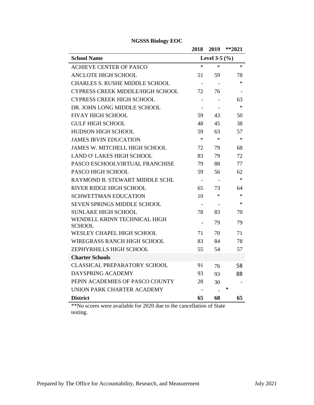|                                               | 2018                     | 2019           | $**2021$ |
|-----------------------------------------------|--------------------------|----------------|----------|
| <b>School Name</b>                            | Level 3-5 $(\%)$         |                |          |
| <b>ACHIEVE CENTER OF PASCO</b>                | $\ast$                   | $\ast$         | $\ast$   |
| <b>ANCLOTE HIGH SCHOOL</b>                    | 51                       | 59             | 78       |
| <b>CHARLES S. RUSHE MIDDLE SCHOOL</b>         |                          |                | $\ast$   |
| <b>CYPRESS CREEK MIDDLE/HIGH SCHOOL</b>       | 72                       | 76             |          |
| <b>CYPRESS CREEK HIGH SCHOOL</b>              |                          |                | 63       |
| DR. JOHN LONG MIDDLE SCHOOL                   |                          |                | $\ast$   |
| <b>FIVAY HIGH SCHOOL</b>                      | 59                       | 43             | 50       |
| <b>GULF HIGH SCHOOL</b>                       | 48                       | 45             | 38       |
| <b>HUDSON HIGH SCHOOL</b>                     | 59                       | 63             | 57       |
| <b>JAMES IRVIN EDUCATION</b>                  | $\ast$                   | $\star$        | $\ast$   |
| <b>JAMES W. MITCHELL HIGH SCHOOL</b>          | 72                       | 79             | 68       |
| <b>LAND O' LAKES HIGH SCHOOL</b>              | 83                       | 79             | 72       |
| PASCO ESCHOOLVIRTUAL FRANCHISE                | 79                       | 88             | 77       |
| PASCO HIGH SCHOOL                             | 59                       | 56             | 62       |
| RAYMOND B. STEWART MIDDLE SCHL                | $\blacksquare$           |                | $\ast$   |
| <b>RIVER RIDGE HIGH SCHOOL</b>                | 65                       | 73             | 64       |
| <b>SCHWETTMAN EDUCATION</b>                   | 10                       | $\ast$         | $\ast$   |
| SEVEN SPRINGS MIDDLE SCHOOL                   | $\overline{\phantom{a}}$ | $\overline{a}$ | $\ast$   |
| <b>SUNLAKE HIGH SCHOOL</b>                    | 78                       | 83             | 70       |
| WENDELL KRINN TECHNICAL HIGH<br><b>SCHOOL</b> | $\overline{\phantom{a}}$ | 79             | 79       |
| <b>WESLEY CHAPEL HIGH SCHOOL</b>              | 71                       | 70             | 71       |
| <b>WIREGRASS RANCH HIGH SCHOOL</b>            | 83                       | 84             | 78       |
| ZEPHYRHILLS HIGH SCHOOL                       | 55                       | 54             | 57       |
| <b>Charter Schools</b>                        |                          |                |          |
| <b>CLASSICAL PREPARATORY SCHOOL</b>           | 91                       | 76             | 58       |
| <b>DAYSPRING ACADEMY</b>                      | 93                       | 93             | 88       |
| PEPIN ACADEMIES OF PASCO COUNTY               | 28                       | 30             |          |
| UNION PARK CHARTER ACADEMY                    |                          |                | ∗        |
| <b>District</b>                               | 65                       | 68             | 65       |

**NGSSS Biology EOC**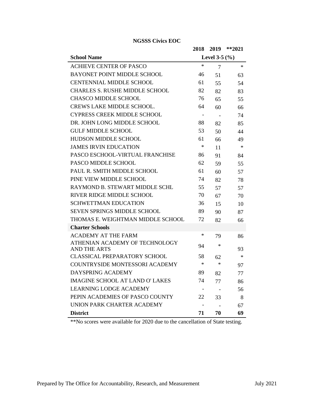|                                        | 2018                     | 2019                     | $*$ *2021 |
|----------------------------------------|--------------------------|--------------------------|-----------|
| <b>School Name</b>                     | Level 3-5 $(\% )$        |                          |           |
| <b>ACHIEVE CENTER OF PASCO</b>         | $\ast$                   | 7                        | $\ast$    |
| <b>BAYONET POINT MIDDLE SCHOOL</b>     | 46                       | 51                       | 63        |
| <b>CENTENNIAL MIDDLE SCHOOL</b>        | 61                       | 55                       | 54        |
| <b>CHARLES S. RUSHE MIDDLE SCHOOL</b>  | 82                       | 82                       | 83        |
| <b>CHASCO MIDDLE SCHOOL</b>            | 76                       | 65                       | 55        |
| <b>CREWS LAKE MIDDLE SCHOOL.</b>       | 64                       | 60                       | 66        |
| <b>CYPRESS CREEK MIDDLE SCHOOL</b>     | $\overline{\phantom{a}}$ | $\overline{\phantom{a}}$ | 74        |
| DR. JOHN LONG MIDDLE SCHOOL            | 88                       | 82                       | 85        |
| <b>GULF MIDDLE SCHOOL</b>              | 53                       | 50                       | 44        |
| <b>HUDSON MIDDLE SCHOOL</b>            | 61                       | 66                       | 49        |
| <b>JAMES IRVIN EDUCATION</b>           | $\ast$                   | 11                       | $\ast$    |
| PASCO ESCHOOL-VIRTUAL FRANCHISE        | 86                       | 91                       | 84        |
| PASCO MIDDLE SCHOOL                    | 62                       | 59                       | 55        |
| PAUL R. SMITH MIDDLE SCHOOL            | 61                       | 60                       | 57        |
| PINE VIEW MIDDLE SCHOOL                | 74                       | 82                       | 78        |
| RAYMOND B. STEWART MIDDLE SCHL         | 55                       | 57                       | 57        |
| RIVER RIDGE MIDDLE SCHOOL              | 70                       | 67                       | 70        |
| <b>SCHWETTMAN EDUCATION</b>            | 36                       | 15                       | 10        |
| <b>SEVEN SPRINGS MIDDLE SCHOOL</b>     | 89                       | 90                       | 87        |
| THOMAS E. WEIGHTMAN MIDDLE SCHOOL      | 72                       | 82                       | 66        |
| <b>Charter Schools</b>                 |                          |                          |           |
| <b>ACADEMY AT THE FARM</b>             | ∗                        | 79                       | 86        |
| ATHENIAN ACADEMY OF TECHNOLOGY         | 94                       | $\ast$                   |           |
| <b>AND THE ARTS</b>                    |                          |                          | 93        |
| <b>CLASSICAL PREPARATORY SCHOOL</b>    | 58                       | 62                       | $\ast$    |
| <b>COUNTRYSIDE MONTESSORI ACADEMY</b>  | $\ast$                   | $\ast$                   | 97        |
| DAYSPRING ACADEMY                      | 89                       | 82                       | 77        |
| <b>IMAGINE SCHOOL AT LAND O' LAKES</b> | 74                       | 77                       | 86        |
| <b>LEARNING LODGE ACADEMY</b>          |                          |                          | 56        |
| PEPIN ACADEMIES OF PASCO COUNTY        | 22                       | 33                       | 8         |
| UNION PARK CHARTER ACADEMY             |                          |                          | 67        |
| <b>District</b>                        | 71                       | 70                       | 69        |

**NGSSS Civics EOC**